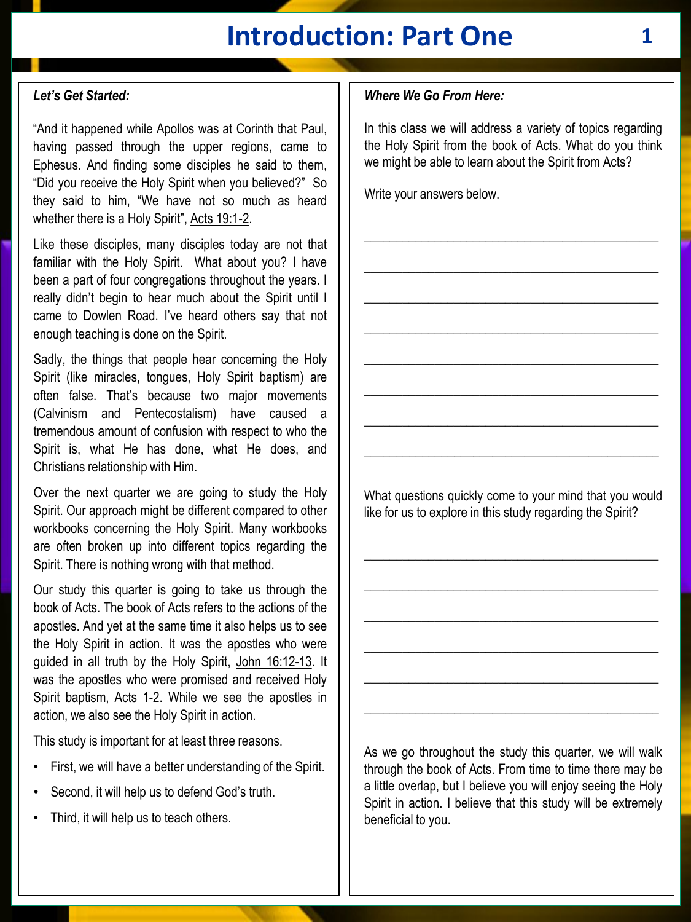# **Introduction: Part One 1**

#### *Let's Get Started:*

"And it happened while Apollos was at Corinth that Paul, having passed through the upper regions, came to Ephesus. And finding some disciples he said to them, "Did you receive the Holy Spirit when you believed?" So they said to him, "We have not so much as heard whether there is a Holy Spirit", Acts 19:1-2.

Like these disciples, many disciples today are not that familiar with the Holy Spirit. What about you? I have been a part of four congregations throughout the years. I really didn't begin to hear much about the Spirit until I came to Dowlen Road. I've heard others say that not enough teaching is done on the Spirit.

Sadly, the things that people hear concerning the Holy Spirit (like miracles, tongues, Holy Spirit baptism) are often false. That's because two major movements (Calvinism and Pentecostalism) have caused a tremendous amount of confusion with respect to who the Spirit is, what He has done, what He does, and Christians relationship with Him.

Over the next quarter we are going to study the Holy Spirit. Our approach might be different compared to other workbooks concerning the Holy Spirit. Many workbooks are often broken up into different topics regarding the Spirit. There is nothing wrong with that method.

Our study this quarter is going to take us through the book of Acts. The book of Acts refers to the actions of the apostles. And yet at the same time it also helps us to see the Holy Spirit in action. It was the apostles who were guided in all truth by the Holy Spirit, John 16:12-13. It was the apostles who were promised and received Holy Spirit baptism, Acts 1-2. While we see the apostles in action, we also see the Holy Spirit in action.

This study is important for at least three reasons.

- First, we will have a better understanding of the Spirit.
- Second, it will help us to defend God's truth.
- Third, it will help us to teach others.

#### *Where We Go From Here:*

In this class we will address a variety of topics regarding the Holy Spirit from the book of Acts. What do you think we might be able to learn about the Spirit from Acts?

\_\_\_\_\_\_\_\_\_\_\_\_\_\_\_\_\_\_\_\_\_\_\_\_\_\_\_\_\_\_\_\_\_\_\_\_\_\_\_\_\_\_\_\_\_\_

\_\_\_\_\_\_\_\_\_\_\_\_\_\_\_\_\_\_\_\_\_\_\_\_\_\_\_\_\_\_\_\_\_\_\_\_\_\_\_\_\_\_\_\_\_\_

\_\_\_\_\_\_\_\_\_\_\_\_\_\_\_\_\_\_\_\_\_\_\_\_\_\_\_\_\_\_\_\_\_\_\_\_\_\_\_\_\_\_\_\_\_\_

\_\_\_\_\_\_\_\_\_\_\_\_\_\_\_\_\_\_\_\_\_\_\_\_\_\_\_\_\_\_\_\_\_\_\_\_\_\_\_\_\_\_\_\_\_\_

\_\_\_\_\_\_\_\_\_\_\_\_\_\_\_\_\_\_\_\_\_\_\_\_\_\_\_\_\_\_\_\_\_\_\_\_\_\_\_\_\_\_\_\_\_\_

\_\_\_\_\_\_\_\_\_\_\_\_\_\_\_\_\_\_\_\_\_\_\_\_\_\_\_\_\_\_\_\_\_\_\_\_\_\_\_\_\_\_\_\_\_\_

\_\_\_\_\_\_\_\_\_\_\_\_\_\_\_\_\_\_\_\_\_\_\_\_\_\_\_\_\_\_\_\_\_\_\_\_\_\_\_\_\_\_\_\_\_\_

\_\_\_\_\_\_\_\_\_\_\_\_\_\_\_\_\_\_\_\_\_\_\_\_\_\_\_\_\_\_\_\_\_\_\_\_\_\_\_\_\_\_\_\_\_\_

Write your answers below.

What questions quickly come to your mind that you would like for us to explore in this study regarding the Spirit?

\_\_\_\_\_\_\_\_\_\_\_\_\_\_\_\_\_\_\_\_\_\_\_\_\_\_\_\_\_\_\_\_\_\_\_\_\_\_\_\_\_\_\_\_\_\_

\_\_\_\_\_\_\_\_\_\_\_\_\_\_\_\_\_\_\_\_\_\_\_\_\_\_\_\_\_\_\_\_\_\_\_\_\_\_\_\_\_\_\_\_\_\_

\_\_\_\_\_\_\_\_\_\_\_\_\_\_\_\_\_\_\_\_\_\_\_\_\_\_\_\_\_\_\_\_\_\_\_\_\_\_\_\_\_\_\_\_\_\_

\_\_\_\_\_\_\_\_\_\_\_\_\_\_\_\_\_\_\_\_\_\_\_\_\_\_\_\_\_\_\_\_\_\_\_\_\_\_\_\_\_\_\_\_\_\_

\_\_\_\_\_\_\_\_\_\_\_\_\_\_\_\_\_\_\_\_\_\_\_\_\_\_\_\_\_\_\_\_\_\_\_\_\_\_\_\_\_\_\_\_\_\_

\_\_\_\_\_\_\_\_\_\_\_\_\_\_\_\_\_\_\_\_\_\_\_\_\_\_\_\_\_\_\_\_\_\_\_\_\_\_\_\_\_\_\_\_\_\_

As we go throughout the study this quarter, we will walk through the book of Acts. From time to time there may be a little overlap, but I believe you will enjoy seeing the Holy Spirit in action. I believe that this study will be extremely beneficial to you.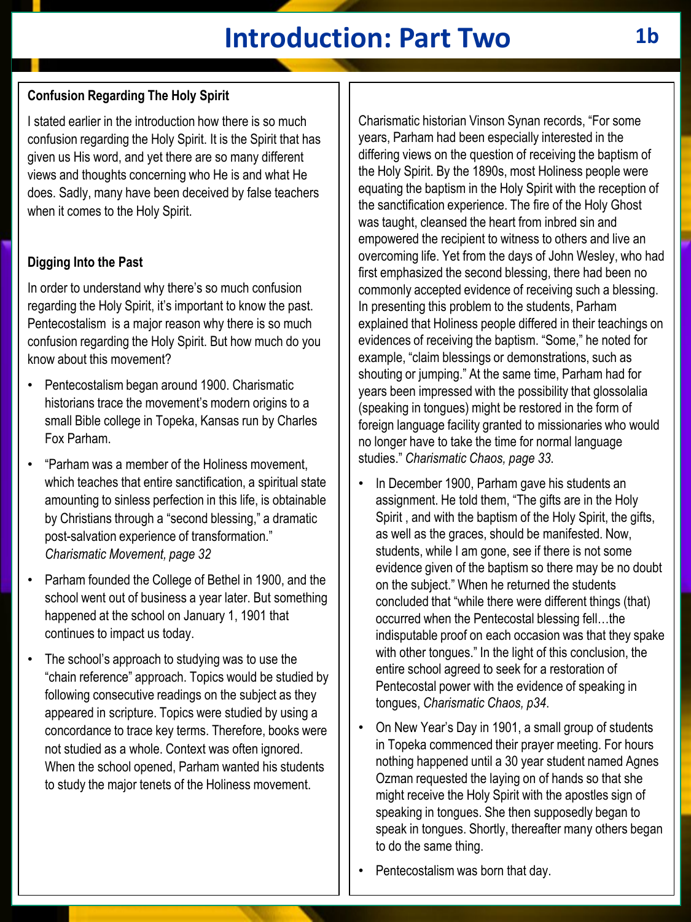# **Introduction: Part Two 1b**

## **Confusion Regarding The Holy Spirit**

I stated earlier in the introduction how there is so much confusion regarding the Holy Spirit. It is the Spirit that has given us His word, and yet there are so many different views and thoughts concerning who He is and what He does. Sadly, many have been deceived by false teachers when it comes to the Holy Spirit.

#### **Digging Into the Past**

In order to understand why there's so much confusion regarding the Holy Spirit, it's important to know the past. Pentecostalism is a major reason why there is so much confusion regarding the Holy Spirit. But how much do you know about this movement?

- Pentecostalism began around 1900. Charismatic historians trace the movement's modern origins to a small Bible college in Topeka, Kansas run by Charles Fox Parham.
- "Parham was a member of the Holiness movement, which teaches that entire sanctification, a spiritual state amounting to sinless perfection in this life, is obtainable by Christians through a "second blessing," a dramatic post-salvation experience of transformation." *Charismatic Movement, page 32*
- Parham founded the College of Bethel in 1900, and the school went out of business a year later. But something happened at the school on January 1, 1901 that continues to impact us today.
- The school's approach to studying was to use the "chain reference" approach. Topics would be studied by following consecutive readings on the subject as they appeared in scripture. Topics were studied by using a concordance to trace key terms. Therefore, books were not studied as a whole. Context was often ignored. When the school opened, Parham wanted his students to study the major tenets of the Holiness movement.

Charismatic historian Vinson Synan records, "For some years, Parham had been especially interested in the differing views on the question of receiving the baptism of the Holy Spirit. By the 1890s, most Holiness people were equating the baptism in the Holy Spirit with the reception of the sanctification experience. The fire of the Holy Ghost was taught, cleansed the heart from inbred sin and empowered the recipient to witness to others and live an overcoming life. Yet from the days of John Wesley, who had first emphasized the second blessing, there had been no commonly accepted evidence of receiving such a blessing. In presenting this problem to the students, Parham explained that Holiness people differed in their teachings on evidences of receiving the baptism. "Some," he noted for example, "claim blessings or demonstrations, such as shouting or jumping." At the same time, Parham had for years been impressed with the possibility that glossolalia (speaking in tongues) might be restored in the form of foreign language facility granted to missionaries who would no longer have to take the time for normal language studies." *Charismatic Chaos, page 33*.

- In December 1900, Parham gave his students an assignment. He told them, "The gifts are in the Holy Spirit , and with the baptism of the Holy Spirit, the gifts, as well as the graces, should be manifested. Now, students, while I am gone, see if there is not some evidence given of the baptism so there may be no doubt on the subject." When he returned the students concluded that "while there were different things (that) occurred when the Pentecostal blessing fell…the indisputable proof on each occasion was that they spake with other tongues." In the light of this conclusion, the entire school agreed to seek for a restoration of Pentecostal power with the evidence of speaking in tongues, *Charismatic Chaos, p34*.
- On New Year's Day in 1901, a small group of students in Topeka commenced their prayer meeting. For hours nothing happened until a 30 year student named Agnes Ozman requested the laying on of hands so that she might receive the Holy Spirit with the apostles sign of speaking in tongues. She then supposedly began to speak in tongues. Shortly, thereafter many others began to do the same thing.
- Pentecostalism was born that day.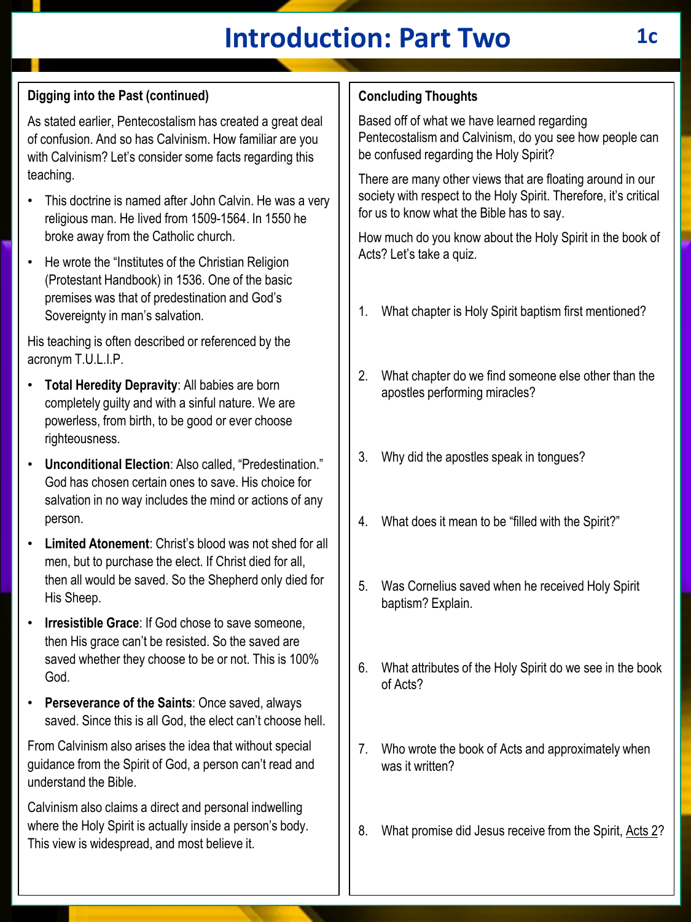# **Introduction: Part Two 1c**

## **Digging into the Past (continued)**

As stated earlier, Pentecostalism has created a great deal of confusion. And so has Calvinism. How familiar are you with Calvinism? Let's consider some facts regarding this teaching.

- This doctrine is named after John Calvin. He was a very religious man. He lived from 1509-1564. In 1550 he broke away from the Catholic church.
- He wrote the "Institutes of the Christian Religion (Protestant Handbook) in 1536. One of the basic premises was that of predestination and God's Sovereignty in man's salvation.

His teaching is often described or referenced by the acronym T.U.L.I.P.

- **Total Heredity Depravity**: All babies are born completely guilty and with a sinful nature. We are powerless, from birth, to be good or ever choose righteousness.
- **Unconditional Election**: Also called, "Predestination." God has chosen certain ones to save. His choice for salvation in no way includes the mind or actions of any person.
- **Limited Atonement**: Christ's blood was not shed for all men, but to purchase the elect. If Christ died for all, then all would be saved. So the Shepherd only died for His Sheep.
- **Irresistible Grace: If God chose to save someone.** then His grace can't be resisted. So the saved are saved whether they choose to be or not. This is 100% God.
- **Perseverance of the Saints**: Once saved, always saved. Since this is all God, the elect can't choose hell.

From Calvinism also arises the idea that without special guidance from the Spirit of God, a person can't read and understand the Bible.

Calvinism also claims a direct and personal indwelling where the Holy Spirit is actually inside a person's body. This view is widespread, and most believe it.

## **Concluding Thoughts**

Based off of what we have learned regarding Pentecostalism and Calvinism, do you see how people can be confused regarding the Holy Spirit?

There are many other views that are floating around in our society with respect to the Holy Spirit. Therefore, it's critical for us to know what the Bible has to say.

How much do you know about the Holy Spirit in the book of Acts? Let's take a quiz.

- 1. What chapter is Holy Spirit baptism first mentioned?
- 2. What chapter do we find someone else other than the apostles performing miracles?
- 3. Why did the apostles speak in tongues?
- 4. What does it mean to be "filled with the Spirit?"
- 5. Was Cornelius saved when he received Holy Spirit baptism? Explain.
- 6. What attributes of the Holy Spirit do we see in the book of Acts?
- 7. Who wrote the book of Acts and approximately when was it written?
- 8. What promise did Jesus receive from the Spirit, Acts 2?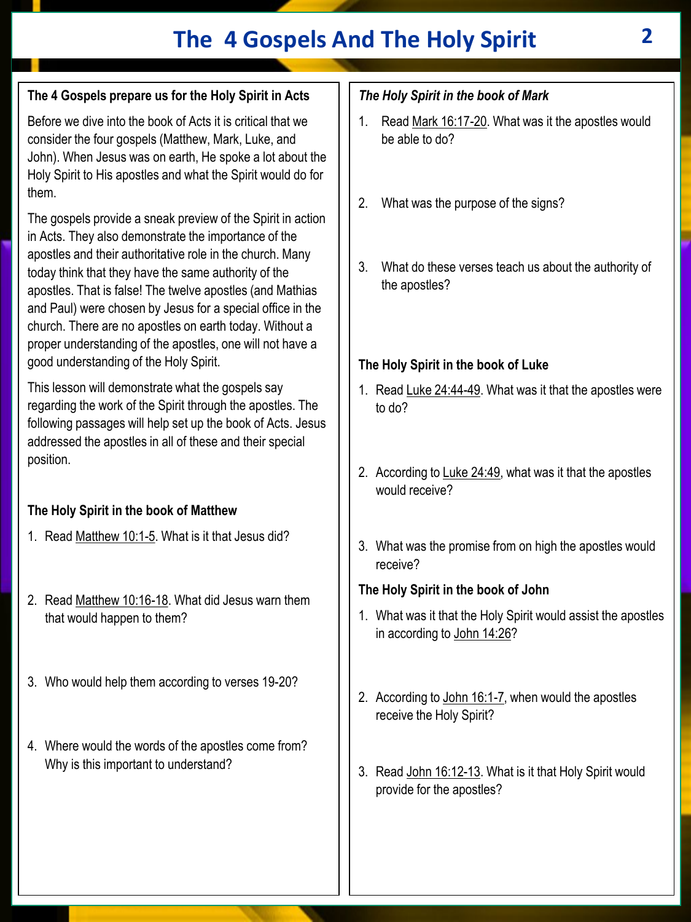## **The 4 Gospels And The Holy Spirit 2**

## **The 4 Gospels prepare us for the Holy Spirit in Acts**

Before we dive into the book of Acts it is critical that we consider the four gospels (Matthew, Mark, Luke, and John). When Jesus was on earth, He spoke a lot about the Holy Spirit to His apostles and what the Spirit would do for them.

The gospels provide a sneak preview of the Spirit in action in Acts. They also demonstrate the importance of the apostles and their authoritative role in the church. Many today think that they have the same authority of the apostles. That is false! The twelve apostles (and Mathias and Paul) were chosen by Jesus for a special office in the church. There are no apostles on earth today. Without a proper understanding of the apostles, one will not have a good understanding of the Holy Spirit.

This lesson will demonstrate what the gospels say regarding the work of the Spirit through the apostles. The following passages will help set up the book of Acts. Jesus addressed the apostles in all of these and their special position.

## **The Holy Spirit in the book of Matthew**

- 1. Read Matthew 10:1-5. What is it that Jesus did?
- 2. Read Matthew 10:16-18. What did Jesus warn them that would happen to them?
- 3. Who would help them according to verses 19-20?
- 4. Where would the words of the apostles come from? Why is this important to understand?

## *The Holy Spirit in the book of Mark*

- 1. Read Mark 16:17-20. What was it the apostles would be able to do?
- 2. What was the purpose of the signs?
- 3. What do these verses teach us about the authority of the apostles?

#### **The Holy Spirit in the book of Luke**

- 1. Read Luke 24:44-49. What was it that the apostles were to do?
- 2. According to Luke 24:49, what was it that the apostles would receive?
- 3. What was the promise from on high the apostles would receive?

#### **The Holy Spirit in the book of John**

- 1. What was it that the Holy Spirit would assist the apostles in according to John 14:26?
- 2. According to John 16:1-7, when would the apostles receive the Holy Spirit?
- 3. Read John 16:12-13. What is it that Holy Spirit would provide for the apostles?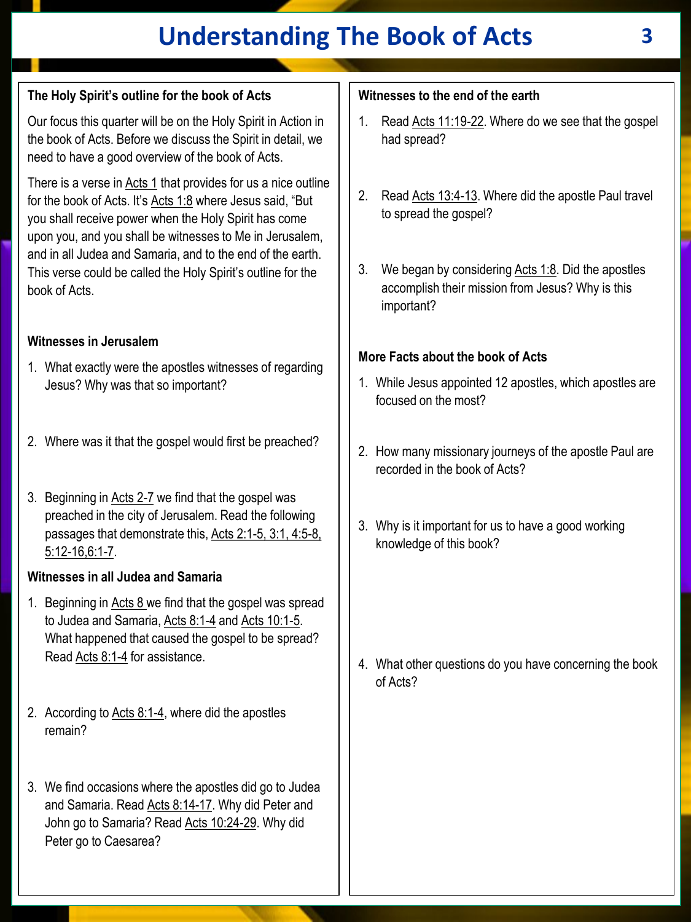# **Understanding The Book of Acts 3**

## **The Holy Spirit's outline for the book of Acts**

Our focus this quarter will be on the Holy Spirit in Action in the book of Acts. Before we discuss the Spirit in detail, we need to have a good overview of the book of Acts.

There is a verse in Acts 1 that provides for us a nice outline for the book of Acts. It's Acts 1:8 where Jesus said, "But you shall receive power when the Holy Spirit has come upon you, and you shall be witnesses to Me in Jerusalem, and in all Judea and Samaria, and to the end of the earth. This verse could be called the Holy Spirit's outline for the book of Acts.

#### **Witnesses in Jerusalem**

- 1. What exactly were the apostles witnesses of regarding Jesus? Why was that so important?
- 2. Where was it that the gospel would first be preached?
- 3. Beginning in Acts 2-7 we find that the gospel was preached in the city of Jerusalem. Read the following passages that demonstrate this, Acts 2:1-5, 3:1, 4:5-8, 5:12-16,6:1-7.

#### **Witnesses in all Judea and Samaria**

- 1. Beginning in Acts 8 we find that the gospel was spread to Judea and Samaria, Acts 8:1-4 and Acts 10:1-5. What happened that caused the gospel to be spread? Read Acts 8:1-4 for assistance.
- 2. According to Acts 8:1-4, where did the apostles remain?
- 3. We find occasions where the apostles did go to Judea and Samaria. Read Acts 8:14-17. Why did Peter and John go to Samaria? Read Acts 10:24-29. Why did Peter go to Caesarea?

#### **Witnesses to the end of the earth**

- 1. Read Acts 11:19-22. Where do we see that the gospel had spread?
- 2. Read Acts 13:4-13. Where did the apostle Paul travel to spread the gospel?
- 3. We began by considering  $Acts$  1:8. Did the apostles accomplish their mission from Jesus? Why is this important?

#### **More Facts about the book of Acts**

- 1. While Jesus appointed 12 apostles, which apostles are focused on the most?
- 2. How many missionary journeys of the apostle Paul are recorded in the book of Acts?
- 3. Why is it important for us to have a good working knowledge of this book?

4. What other questions do you have concerning the book of Acts?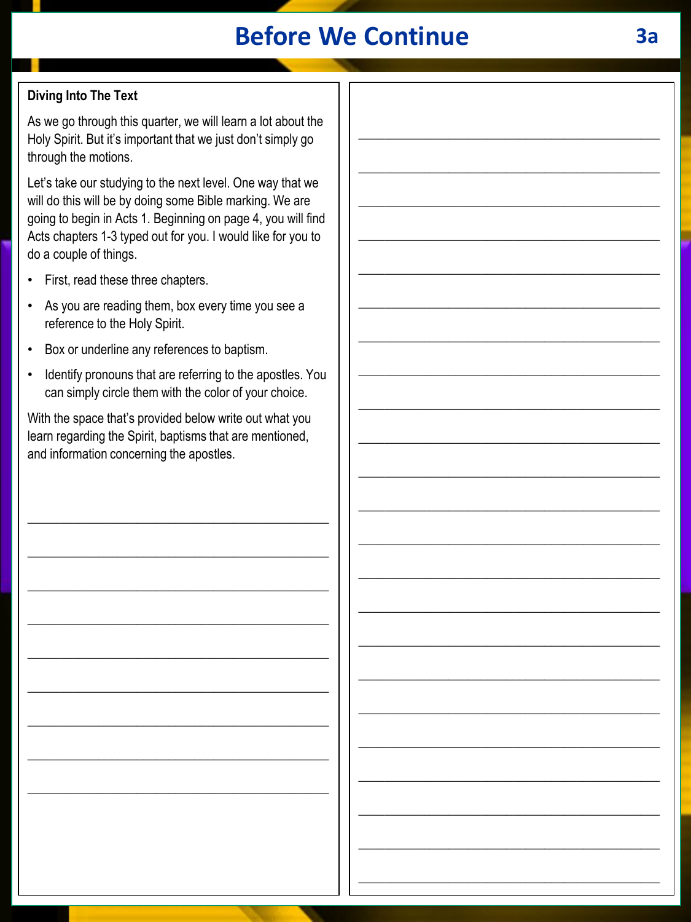## **Before We Continue 3a**

## **Diving Into The Text**

As we go through this quarter, we will learn a lot about the Holy Spirit. But it's important that we just don't simply go through the motions.

Let's take our studying to the next level. One way that we will do this will be by doing some Bible marking. We are going to begin in Acts 1. Beginning on page 4, you will find Acts chapters 1-3 typed out for you. I would like for you to do a couple of things.

- First, read these three chapters.
- As you are reading them, box every time you see a reference to the Holy Spirit.
- Box or underline any references to baptism.
- Identify pronouns that are referring to the apostles. You can simply circle them with the color of your choice.

With the space that's provided below write out what you learn regarding the Spirit, baptisms that are mentioned, and information concerning the apostles.

\_\_\_\_\_\_\_\_\_\_\_\_\_\_\_\_\_\_\_\_\_\_\_\_\_\_\_\_\_\_\_\_\_\_\_\_\_\_\_\_\_\_\_\_\_\_\_

\_\_\_\_\_\_\_\_\_\_\_\_\_\_\_\_\_\_\_\_\_\_\_\_\_\_\_\_\_\_\_\_\_\_\_\_\_\_\_\_\_\_\_\_\_\_\_

\_\_\_\_\_\_\_\_\_\_\_\_\_\_\_\_\_\_\_\_\_\_\_\_\_\_\_\_\_\_\_\_\_\_\_\_\_\_\_\_\_\_\_\_\_\_\_

\_\_\_\_\_\_\_\_\_\_\_\_\_\_\_\_\_\_\_\_\_\_\_\_\_\_\_\_\_\_\_\_\_\_\_\_\_\_\_\_\_\_\_\_\_\_\_

\_\_\_\_\_\_\_\_\_\_\_\_\_\_\_\_\_\_\_\_\_\_\_\_\_\_\_\_\_\_\_\_\_\_\_\_\_\_\_\_\_\_\_\_\_\_\_

\_\_\_\_\_\_\_\_\_\_\_\_\_\_\_\_\_\_\_\_\_\_\_\_\_\_\_\_\_\_\_\_\_\_\_\_\_\_\_\_\_\_\_\_\_\_\_

\_\_\_\_\_\_\_\_\_\_\_\_\_\_\_\_\_\_\_\_\_\_\_\_\_\_\_\_\_\_\_\_\_\_\_\_\_\_\_\_\_\_\_\_\_\_\_

\_\_\_\_\_\_\_\_\_\_\_\_\_\_\_\_\_\_\_\_\_\_\_\_\_\_\_\_\_\_\_\_\_\_\_\_\_\_\_\_\_\_\_\_\_\_\_

\_\_\_\_\_\_\_\_\_\_\_\_\_\_\_\_\_\_\_\_\_\_\_\_\_\_\_\_\_\_\_\_\_\_\_\_\_\_\_\_\_\_\_\_\_\_\_

\_\_\_\_\_\_\_\_\_\_\_\_\_\_\_\_\_\_\_\_\_\_\_\_\_\_\_\_\_\_\_\_\_\_\_\_\_\_\_\_\_\_\_\_\_\_\_

\_\_\_\_\_\_\_\_\_\_\_\_\_\_\_\_\_\_\_\_\_\_\_\_\_\_\_\_\_\_\_\_\_\_\_\_\_\_\_\_\_\_\_\_\_\_\_

\_\_\_\_\_\_\_\_\_\_\_\_\_\_\_\_\_\_\_\_\_\_\_\_\_\_\_\_\_\_\_\_\_\_\_\_\_\_\_\_\_\_\_\_\_\_\_

\_\_\_\_\_\_\_\_\_\_\_\_\_\_\_\_\_\_\_\_\_\_\_\_\_\_\_\_\_\_\_\_\_\_\_\_\_\_\_\_\_\_\_\_\_\_\_

\_\_\_\_\_\_\_\_\_\_\_\_\_\_\_\_\_\_\_\_\_\_\_\_\_\_\_\_\_\_\_\_\_\_\_\_\_\_\_\_\_\_\_\_\_\_\_

\_\_\_\_\_\_\_\_\_\_\_\_\_\_\_\_\_\_\_\_\_\_\_\_\_\_\_\_\_\_\_\_\_\_\_\_\_\_\_\_\_\_\_\_\_\_\_

\_\_\_\_\_\_\_\_\_\_\_\_\_\_\_\_\_\_\_\_\_\_\_\_\_\_\_\_\_\_\_\_\_\_\_\_\_\_\_\_\_\_\_\_\_\_\_

\_\_\_\_\_\_\_\_\_\_\_\_\_\_\_\_\_\_\_\_\_\_\_\_\_\_\_\_\_\_\_\_\_\_\_\_\_\_\_\_\_\_\_\_\_\_\_

\_\_\_\_\_\_\_\_\_\_\_\_\_\_\_\_\_\_\_\_\_\_\_\_\_\_\_\_\_\_\_\_\_\_\_\_\_\_\_\_\_\_\_\_\_\_\_

\_\_\_\_\_\_\_\_\_\_\_\_\_\_\_\_\_\_\_\_\_\_\_\_\_\_\_\_\_\_\_\_\_\_\_\_\_\_\_\_\_\_\_\_\_\_\_

\_\_\_\_\_\_\_\_\_\_\_\_\_\_\_\_\_\_\_\_\_\_\_\_\_\_\_\_\_\_\_\_\_\_\_\_\_\_\_\_\_\_\_\_\_\_\_

\_\_\_\_\_\_\_\_\_\_\_\_\_\_\_\_\_\_\_\_\_\_\_\_\_\_\_\_\_\_\_\_\_\_\_\_\_\_\_\_\_\_\_\_\_\_\_

\_\_\_\_\_\_\_\_\_\_\_\_\_\_\_\_\_\_\_\_\_\_\_\_\_\_\_\_\_\_\_\_\_\_\_\_\_\_\_\_\_\_\_\_\_\_\_

\_\_\_\_\_\_\_\_\_\_\_\_\_\_\_\_\_\_\_\_\_\_\_\_\_\_\_\_\_\_\_\_\_\_\_\_\_\_\_\_\_\_\_\_\_\_\_

\_\_\_\_\_\_\_\_\_\_\_\_\_\_\_\_\_\_\_\_\_\_\_\_\_\_\_\_\_\_\_\_\_\_\_\_\_\_\_\_\_\_\_\_\_\_\_

\_\_\_\_\_\_\_\_\_\_\_\_\_\_\_\_\_\_\_\_\_\_\_\_\_\_\_\_\_\_\_\_\_\_\_\_\_\_\_\_\_\_\_\_\_\_\_

\_\_\_\_\_\_\_\_\_\_\_\_\_\_\_\_\_\_\_\_\_\_\_\_\_\_\_\_\_\_\_\_\_\_\_\_\_\_\_\_\_\_\_\_\_\_\_

\_\_\_\_\_\_\_\_\_\_\_\_\_\_\_\_\_\_\_\_\_\_\_\_\_\_\_\_\_\_\_\_\_\_\_\_\_\_\_\_\_\_\_\_\_\_\_

\_\_\_\_\_\_\_\_\_\_\_\_\_\_\_\_\_\_\_\_\_\_\_\_\_\_\_\_\_\_\_\_\_\_\_\_\_\_\_\_\_\_\_\_\_\_\_

\_\_\_\_\_\_\_\_\_\_\_\_\_\_\_\_\_\_\_\_\_\_\_\_\_\_\_\_\_\_\_\_\_\_\_\_\_\_\_\_\_\_\_\_\_\_\_

\_\_\_\_\_\_\_\_\_\_\_\_\_\_\_\_\_\_\_\_\_\_\_\_\_\_\_\_\_\_\_\_\_\_\_\_\_\_\_\_\_\_\_\_\_\_\_

\_\_\_\_\_\_\_\_\_\_\_\_\_\_\_\_\_\_\_\_\_\_\_\_\_\_\_\_\_\_\_\_\_\_\_\_\_\_\_\_\_\_\_\_\_\_\_

\_\_\_\_\_\_\_\_\_\_\_\_\_\_\_\_\_\_\_\_\_\_\_\_\_\_\_\_\_\_\_\_\_\_\_\_\_\_\_\_\_\_\_\_\_\_\_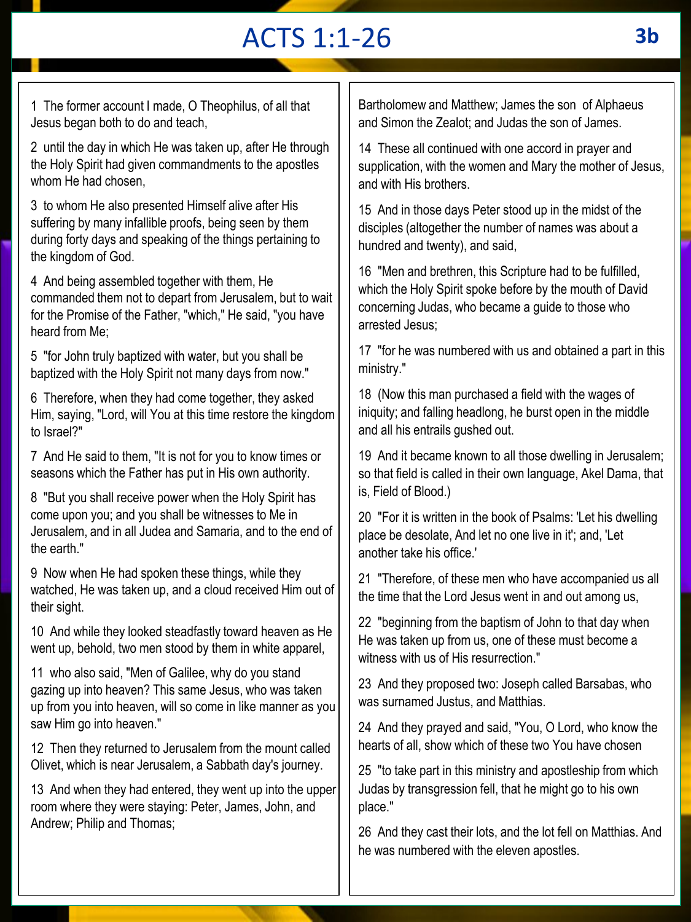# ACTS 1:1-26

1 The former account I made, O Theophilus, of all that Jesus began both to do and teach,

2 until the day in which He was taken up, after He through the Holy Spirit had given commandments to the apostles whom He had chosen.

3 to whom He also presented Himself alive after His suffering by many infallible proofs, being seen by them during forty days and speaking of the things pertaining to the kingdom of God.

4 And being assembled together with them, He commanded them not to depart from Jerusalem, but to wait for the Promise of the Father, "which," He said, "you have heard from Me;

5 "for John truly baptized with water, but you shall be baptized with the Holy Spirit not many days from now."

6 Therefore, when they had come together, they asked Him, saying, "Lord, will You at this time restore the kingdom to Israel?"

7 And He said to them, "It is not for you to know times or seasons which the Father has put in His own authority.

8 "But you shall receive power when the Holy Spirit has come upon you; and you shall be witnesses to Me in Jerusalem, and in all Judea and Samaria, and to the end of the earth."

9 Now when He had spoken these things, while they watched, He was taken up, and a cloud received Him out of their sight.

10 And while they looked steadfastly toward heaven as He went up, behold, two men stood by them in white apparel,

11 who also said, "Men of Galilee, why do you stand gazing up into heaven? This same Jesus, who was taken up from you into heaven, will so come in like manner as you saw Him go into heaven."

12 Then they returned to Jerusalem from the mount called Olivet, which is near Jerusalem, a Sabbath day's journey.

13 And when they had entered, they went up into the upper room where they were staying: Peter, James, John, and Andrew; Philip and Thomas;

Bartholomew and Matthew; James the son of Alphaeus and Simon the Zealot; and Judas the son of James.

14 These all continued with one accord in prayer and supplication, with the women and Mary the mother of Jesus, and with His brothers.

15 And in those days Peter stood up in the midst of the disciples (altogether the number of names was about a hundred and twenty), and said,

16 "Men and brethren, this Scripture had to be fulfilled, which the Holy Spirit spoke before by the mouth of David concerning Judas, who became a guide to those who arrested Jesus;

17 "for he was numbered with us and obtained a part in this ministry."

18 (Now this man purchased a field with the wages of iniquity; and falling headlong, he burst open in the middle and all his entrails gushed out.

19 And it became known to all those dwelling in Jerusalem; so that field is called in their own language, Akel Dama, that is, Field of Blood.)

20 "For it is written in the book of Psalms: 'Let his dwelling place be desolate, And let no one live in it'; and, 'Let another take his office.'

21 "Therefore, of these men who have accompanied us all the time that the Lord Jesus went in and out among us,

22 "beginning from the baptism of John to that day when He was taken up from us, one of these must become a witness with us of His resurrection."

23 And they proposed two: Joseph called Barsabas, who was surnamed Justus, and Matthias.

24 And they prayed and said, "You, O Lord, who know the hearts of all, show which of these two You have chosen

25 "to take part in this ministry and apostleship from which Judas by transgression fell, that he might go to his own place."

26 And they cast their lots, and the lot fell on Matthias. And he was numbered with the eleven apostles.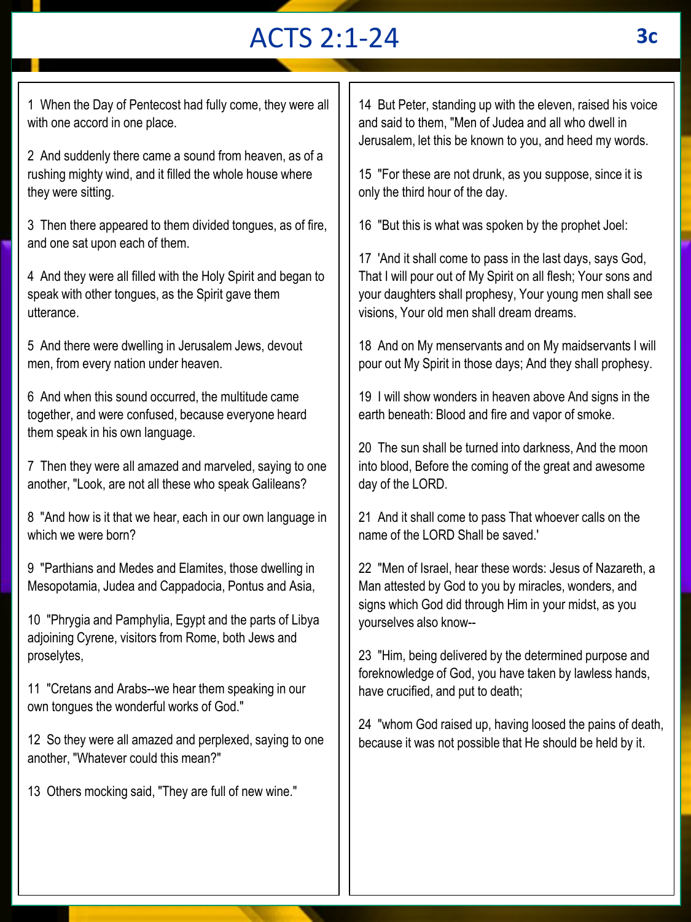# ACTS 2:1-24 **3c**

1 When the Day of Pentecost had fully come, they were all with one accord in one place.

2 And suddenly there came a sound from heaven, as of a rushing mighty wind, and it filled the whole house where they were sitting.

3 Then there appeared to them divided tongues, as of fire, and one sat upon each of them.

4 And they were all filled with the Holy Spirit and began to speak with other tongues, as the Spirit gave them utterance.

5 And there were dwelling in Jerusalem Jews, devout men, from every nation under heaven.

6 And when this sound occurred, the multitude came together, and were confused, because everyone heard them speak in his own language.

7 Then they were all amazed and marveled, saying to one another, "Look, are not all these who speak Galileans?

8 "And how is it that we hear, each in our own language in which we were born?

9 "Parthians and Medes and Elamites, those dwelling in Mesopotamia, Judea and Cappadocia, Pontus and Asia,

10 "Phrygia and Pamphylia, Egypt and the parts of Libya adjoining Cyrene, visitors from Rome, both Jews and proselytes,

11 "Cretans and Arabs--we hear them speaking in our own tongues the wonderful works of God."

12 So they were all amazed and perplexed, saying to one another, "Whatever could this mean?"

13 Others mocking said, "They are full of new wine."

14 But Peter, standing up with the eleven, raised his voice and said to them, "Men of Judea and all who dwell in Jerusalem, let this be known to you, and heed my words.

15 "For these are not drunk, as you suppose, since it is only the third hour of the day.

16 "But this is what was spoken by the prophet Joel:

17 'And it shall come to pass in the last days, says God, That I will pour out of My Spirit on all flesh; Your sons and your daughters shall prophesy, Your young men shall see visions, Your old men shall dream dreams.

18 And on My menservants and on My maidservants I will pour out My Spirit in those days; And they shall prophesy.

19 I will show wonders in heaven above And signs in the earth beneath: Blood and fire and vapor of smoke.

20 The sun shall be turned into darkness, And the moon into blood, Before the coming of the great and awesome day of the LORD.

21 And it shall come to pass That whoever calls on the name of the LORD Shall be saved.'

22 "Men of Israel, hear these words: Jesus of Nazareth, a Man attested by God to you by miracles, wonders, and signs which God did through Him in your midst, as you yourselves also know--

23 "Him, being delivered by the determined purpose and foreknowledge of God, you have taken by lawless hands, have crucified, and put to death;

24 "whom God raised up, having loosed the pains of death, because it was not possible that He should be held by it.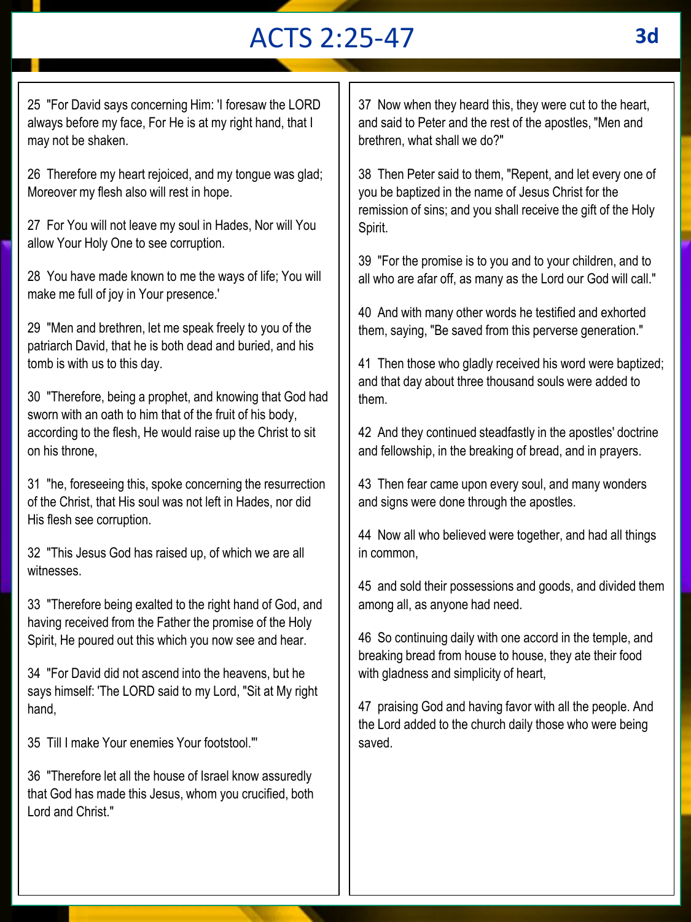# ACTS 2:25-47 **3d**

25 "For David says concerning Him: 'I foresaw the LORD always before my face, For He is at my right hand, that I may not be shaken.

26 Therefore my heart rejoiced, and my tongue was glad; Moreover my flesh also will rest in hope.

27 For You will not leave my soul in Hades, Nor will You allow Your Holy One to see corruption.

28 You have made known to me the ways of life; You will make me full of joy in Your presence.'

29 "Men and brethren, let me speak freely to you of the patriarch David, that he is both dead and buried, and his tomb is with us to this day.

30 "Therefore, being a prophet, and knowing that God had sworn with an oath to him that of the fruit of his body, according to the flesh, He would raise up the Christ to sit on his throne,

31 "he, foreseeing this, spoke concerning the resurrection of the Christ, that His soul was not left in Hades, nor did His flesh see corruption.

32 "This Jesus God has raised up, of which we are all witnesses.

33 "Therefore being exalted to the right hand of God, and having received from the Father the promise of the Holy Spirit, He poured out this which you now see and hear.

34 "For David did not ascend into the heavens, but he says himself: 'The LORD said to my Lord, "Sit at My right hand,

35 Till I make Your enemies Your footstool."'

36 "Therefore let all the house of Israel know assuredly that God has made this Jesus, whom you crucified, both Lord and Christ."

37 Now when they heard this, they were cut to the heart, and said to Peter and the rest of the apostles, "Men and brethren, what shall we do?"

38 Then Peter said to them, "Repent, and let every one of you be baptized in the name of Jesus Christ for the remission of sins; and you shall receive the gift of the Holy Spirit.

39 "For the promise is to you and to your children, and to all who are afar off, as many as the Lord our God will call."

40 And with many other words he testified and exhorted them, saying, "Be saved from this perverse generation."

41 Then those who gladly received his word were baptized; and that day about three thousand souls were added to them.

42 And they continued steadfastly in the apostles' doctrine and fellowship, in the breaking of bread, and in prayers.

43 Then fear came upon every soul, and many wonders and signs were done through the apostles.

44 Now all who believed were together, and had all things in common,

45 and sold their possessions and goods, and divided them among all, as anyone had need.

46 So continuing daily with one accord in the temple, and breaking bread from house to house, they ate their food with gladness and simplicity of heart,

47 praising God and having favor with all the people. And the Lord added to the church daily those who were being saved.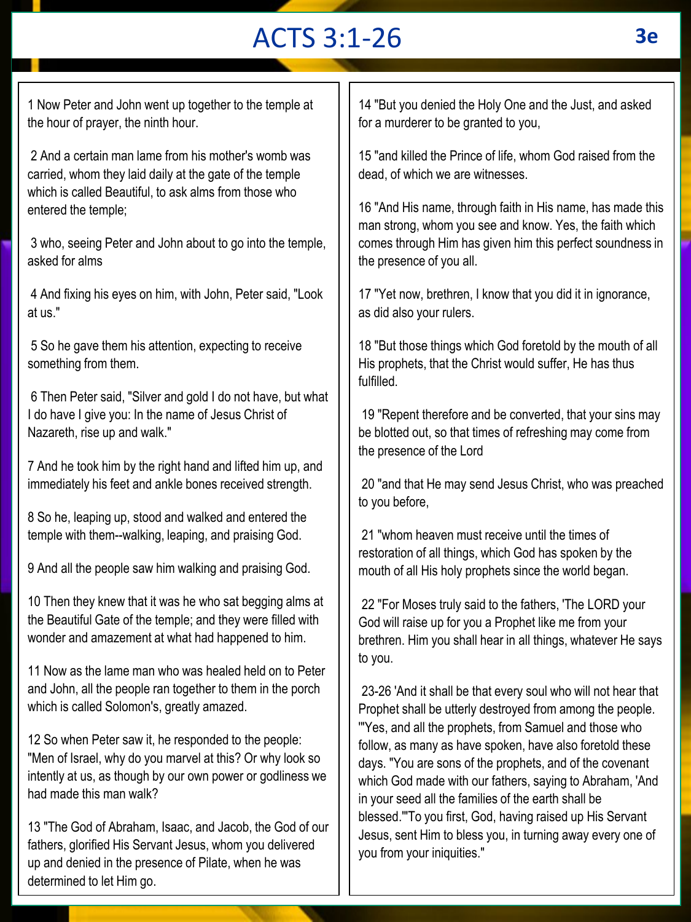# ACTS 3:1-26 **3e**

1 Now Peter and John went up together to the temple at the hour of prayer, the ninth hour.

2 And a certain man lame from his mother's womb was carried, whom they laid daily at the gate of the temple which is called Beautiful, to ask alms from those who entered the temple;

3 who, seeing Peter and John about to go into the temple, asked for alms

4 And fixing his eyes on him, with John, Peter said, "Look at us."

5 So he gave them his attention, expecting to receive something from them.

6 Then Peter said, "Silver and gold I do not have, but what I do have I give you: In the name of Jesus Christ of Nazareth, rise up and walk."

7 And he took him by the right hand and lifted him up, and immediately his feet and ankle bones received strength.

8 So he, leaping up, stood and walked and entered the temple with them--walking, leaping, and praising God.

9 And all the people saw him walking and praising God.

10 Then they knew that it was he who sat begging alms at the Beautiful Gate of the temple; and they were filled with wonder and amazement at what had happened to him.

11 Now as the lame man who was healed held on to Peter and John, all the people ran together to them in the porch which is called Solomon's, greatly amazed.

12 So when Peter saw it, he responded to the people: "Men of Israel, why do you marvel at this? Or why look so intently at us, as though by our own power or godliness we had made this man walk?

13 "The God of Abraham, Isaac, and Jacob, the God of our fathers, glorified His Servant Jesus, whom you delivered up and denied in the presence of Pilate, when he was determined to let Him go.

14 "But you denied the Holy One and the Just, and asked for a murderer to be granted to you,

15 "and killed the Prince of life, whom God raised from the dead, of which we are witnesses.

16 "And His name, through faith in His name, has made this man strong, whom you see and know. Yes, the faith which comes through Him has given him this perfect soundness in the presence of you all.

17 "Yet now, brethren, I know that you did it in ignorance, as did also your rulers.

18 "But those things which God foretold by the mouth of all His prophets, that the Christ would suffer, He has thus fulfilled.

19 "Repent therefore and be converted, that your sins may be blotted out, so that times of refreshing may come from the presence of the Lord

20 "and that He may send Jesus Christ, who was preached to you before,

21 "whom heaven must receive until the times of restoration of all things, which God has spoken by the mouth of all His holy prophets since the world began.

22 "For Moses truly said to the fathers, 'The LORD your God will raise up for you a Prophet like me from your brethren. Him you shall hear in all things, whatever He says to you.

23-26 'And it shall be that every soul who will not hear that Prophet shall be utterly destroyed from among the people. '"Yes, and all the prophets, from Samuel and those who follow, as many as have spoken, have also foretold these days. "You are sons of the prophets, and of the covenant which God made with our fathers, saying to Abraham, 'And in your seed all the families of the earth shall be blessed.'"To you first, God, having raised up His Servant Jesus, sent Him to bless you, in turning away every one of you from your iniquities."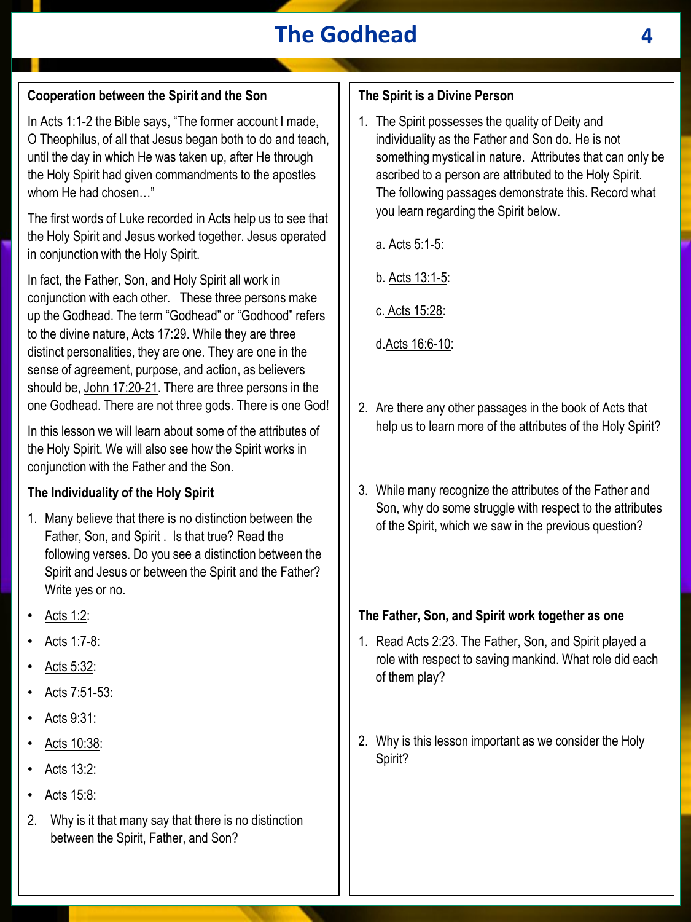## **The Godhead 4**

#### **Cooperation between the Spirit and the Son**

In Acts 1:1-2 the Bible says, "The former account I made, O Theophilus, of all that Jesus began both to do and teach, until the day in which He was taken up, after He through the Holy Spirit had given commandments to the apostles whom He had chosen…"

The first words of Luke recorded in Acts help us to see that the Holy Spirit and Jesus worked together. Jesus operated in conjunction with the Holy Spirit.

In fact, the Father, Son, and Holy Spirit all work in conjunction with each other. These three persons make up the Godhead. The term "Godhead" or "Godhood" refers to the divine nature, Acts 17:29. While they are three distinct personalities, they are one. They are one in the sense of agreement, purpose, and action, as believers should be, John 17:20-21. There are three persons in the one Godhead. There are not three gods. There is one God!

In this lesson we will learn about some of the attributes of the Holy Spirit. We will also see how the Spirit works in conjunction with the Father and the Son.

#### **The Individuality of the Holy Spirit**

- 1. Many believe that there is no distinction between the Father, Son, and Spirit . Is that true? Read the following verses. Do you see a distinction between the Spirit and Jesus or between the Spirit and the Father? Write yes or no.
- Acts 1:2:
- Acts 1:7-8:
- Acts 5:32:
- Acts 7:51-53:
- Acts 9:31:
- Acts 10:38:
- Acts 13:2:
- Acts 15:8:
- 2. Why is it that many say that there is no distinction between the Spirit, Father, and Son?

#### **The Spirit is a Divine Person**

- 1. The Spirit possesses the quality of Deity and individuality as the Father and Son do. He is not something mystical in nature. Attributes that can only be ascribed to a person are attributed to the Holy Spirit. The following passages demonstrate this. Record what you learn regarding the Spirit below.
	- a. Acts 5:1-5:
	- b. Acts 13:1-5:
	- c. Acts 15:28:
	- d.Acts 16:6-10:
- 2. Are there any other passages in the book of Acts that help us to learn more of the attributes of the Holy Spirit?
- 3. While many recognize the attributes of the Father and Son, why do some struggle with respect to the attributes of the Spirit, which we saw in the previous question?

#### **The Father, Son, and Spirit work together as one**

- 1. Read Acts 2:23. The Father, Son, and Spirit played a role with respect to saving mankind. What role did each of them play?
- 2. Why is this lesson important as we consider the Holy Spirit?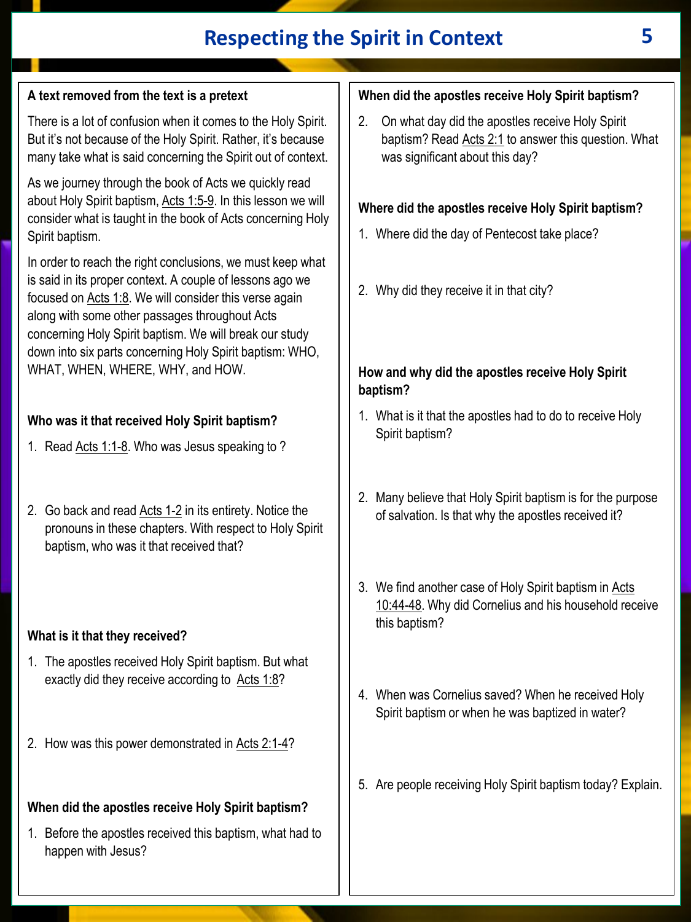## **Respecting the Spirit in Context 5**

## **A text removed from the text is a pretext**

There is a lot of confusion when it comes to the Holy Spirit. But it's not because of the Holy Spirit. Rather, it's because many take what is said concerning the Spirit out of context.

As we journey through the book of Acts we quickly read about Holy Spirit baptism, Acts 1:5-9. In this lesson we will consider what is taught in the book of Acts concerning Holy Spirit baptism.

In order to reach the right conclusions, we must keep what is said in its proper context. A couple of lessons ago we focused on Acts 1:8. We will consider this verse again along with some other passages throughout Acts concerning Holy Spirit baptism. We will break our study down into six parts concerning Holy Spirit baptism: WHO, WHAT, WHEN, WHERE, WHY, and HOW.

## **Who was it that received Holy Spirit baptism?**

- 1. Read Acts 1:1-8. Who was Jesus speaking to ?
- 2. Go back and read Acts 1-2 in its entirety. Notice the pronouns in these chapters. With respect to Holy Spirit baptism, who was it that received that?

#### **What is it that they received?**

- 1. The apostles received Holy Spirit baptism. But what exactly did they receive according to Acts 1:8?
- 2. How was this power demonstrated in Acts 2:1-4?

## **When did the apostles receive Holy Spirit baptism?**

1. Before the apostles received this baptism, what had to happen with Jesus?

## **When did the apostles receive Holy Spirit baptism?**

2. On what day did the apostles receive Holy Spirit baptism? Read Acts 2:1 to answer this question. What was significant about this day?

## **Where did the apostles receive Holy Spirit baptism?**

- 1. Where did the day of Pentecost take place?
- 2. Why did they receive it in that city?

#### **How and why did the apostles receive Holy Spirit baptism?**

- 1. What is it that the apostles had to do to receive Holy Spirit baptism?
- 2. Many believe that Holy Spirit baptism is for the purpose of salvation. Is that why the apostles received it?
- 3. We find another case of Holy Spirit baptism in Acts 10:44-48. Why did Cornelius and his household receive this baptism?
- 4. When was Cornelius saved? When he received Holy Spirit baptism or when he was baptized in water?
- 5. Are people receiving Holy Spirit baptism today? Explain.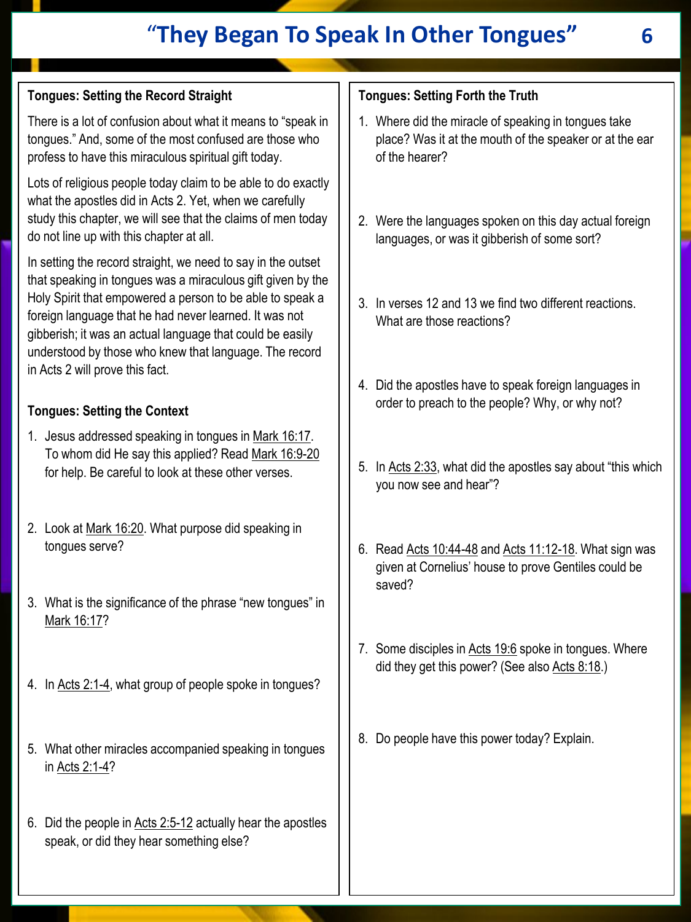## "**They Began To Speak In Other Tongues" 6**

## **Tongues: Setting the Record Straight**

There is a lot of confusion about what it means to "speak in tongues." And, some of the most confused are those who profess to have this miraculous spiritual gift today.

Lots of religious people today claim to be able to do exactly what the apostles did in Acts 2. Yet, when we carefully study this chapter, we will see that the claims of men today do not line up with this chapter at all.

In setting the record straight, we need to say in the outset that speaking in tongues was a miraculous gift given by the Holy Spirit that empowered a person to be able to speak a foreign language that he had never learned. It was not gibberish; it was an actual language that could be easily understood by those who knew that language. The record in Acts 2 will prove this fact.

#### **Tongues: Setting the Context**

- 1. Jesus addressed speaking in tongues in Mark 16:17. To whom did He say this applied? Read Mark 16:9-20 for help. Be careful to look at these other verses.
- 2. Look at Mark 16:20. What purpose did speaking in tongues serve?
- 3. What is the significance of the phrase "new tongues" in Mark 16:17?
- 4. In Acts 2:1-4, what group of people spoke in tongues?
- 5. What other miracles accompanied speaking in tongues in Acts 2:1-4?
- 6. Did the people in Acts 2:5-12 actually hear the apostles speak, or did they hear something else?

#### **Tongues: Setting Forth the Truth**

- 1. Where did the miracle of speaking in tongues take place? Was it at the mouth of the speaker or at the ear of the hearer?
- 2. Were the languages spoken on this day actual foreign languages, or was it gibberish of some sort?
- 3. In verses 12 and 13 we find two different reactions. What are those reactions?
- 4. Did the apostles have to speak foreign languages in order to preach to the people? Why, or why not?
- 5. In Acts 2:33, what did the apostles say about "this which you now see and hear"?
- 6. Read Acts 10:44-48 and Acts 11:12-18. What sign was given at Cornelius' house to prove Gentiles could be saved?
- 7. Some disciples in Acts 19:6 spoke in tongues. Where did they get this power? (See also Acts 8:18.)
- 8. Do people have this power today? Explain.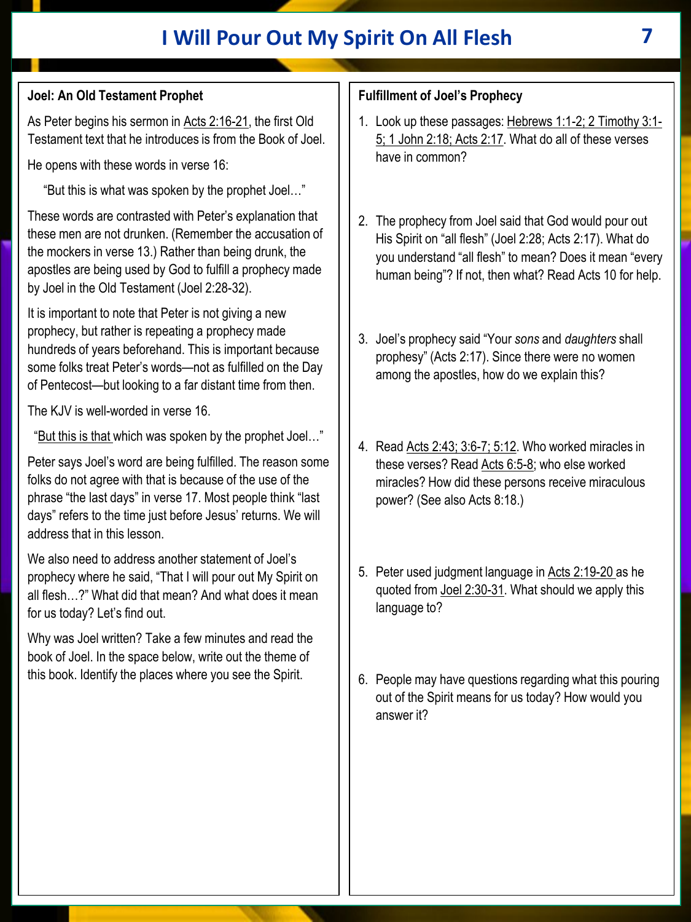## **I Will Pour Out My Spirit On All Flesh 7**

## **Joel: An Old Testament Prophet**

As Peter begins his sermon in Acts 2:16-21, the first Old Testament text that he introduces is from the Book of Joel.

He opens with these words in verse 16:

"But this is what was spoken by the prophet Joel…"

These words are contrasted with Peter's explanation that these men are not drunken. (Remember the accusation of the mockers in verse 13.) Rather than being drunk, the apostles are being used by God to fulfill a prophecy made by Joel in the Old Testament (Joel 2:28-32).

It is important to note that Peter is not giving a new prophecy, but rather is repeating a prophecy made hundreds of years beforehand. This is important because some folks treat Peter's words—not as fulfilled on the Day of Pentecost—but looking to a far distant time from then.

The KJV is well-worded in verse 16.

"But this is that which was spoken by the prophet Joel…"

Peter says Joel's word are being fulfilled. The reason some folks do not agree with that is because of the use of the phrase "the last days" in verse 17. Most people think "last days" refers to the time just before Jesus' returns. We will address that in this lesson.

We also need to address another statement of Joel's prophecy where he said, "That I will pour out My Spirit on all flesh…?" What did that mean? And what does it mean for us today? Let's find out.

Why was Joel written? Take a few minutes and read the book of Joel. In the space below, write out the theme of this book. Identify the places where you see the Spirit.

## **Fulfillment of Joel's Prophecy**

- 1. Look up these passages: Hebrews 1:1-2; 2 Timothy 3:1- 5; 1 John 2:18; Acts 2:17. What do all of these verses have in common?
- 2. The prophecy from Joel said that God would pour out His Spirit on "all flesh" (Joel 2:28; Acts 2:17). What do you understand "all flesh" to mean? Does it mean "every human being"? If not, then what? Read Acts 10 for help.
- 3. Joel's prophecy said "Your *sons* and *daughters* shall prophesy" (Acts 2:17). Since there were no women among the apostles, how do we explain this?
- 4. Read Acts 2:43; 3:6-7; 5:12. Who worked miracles in these verses? Read Acts 6:5-8; who else worked miracles? How did these persons receive miraculous power? (See also Acts 8:18.)
- 5. Peter used judgment language in Acts 2:19-20 as he quoted from Joel 2:30-31. What should we apply this language to?
- 6. People may have questions regarding what this pouring out of the Spirit means for us today? How would you answer it?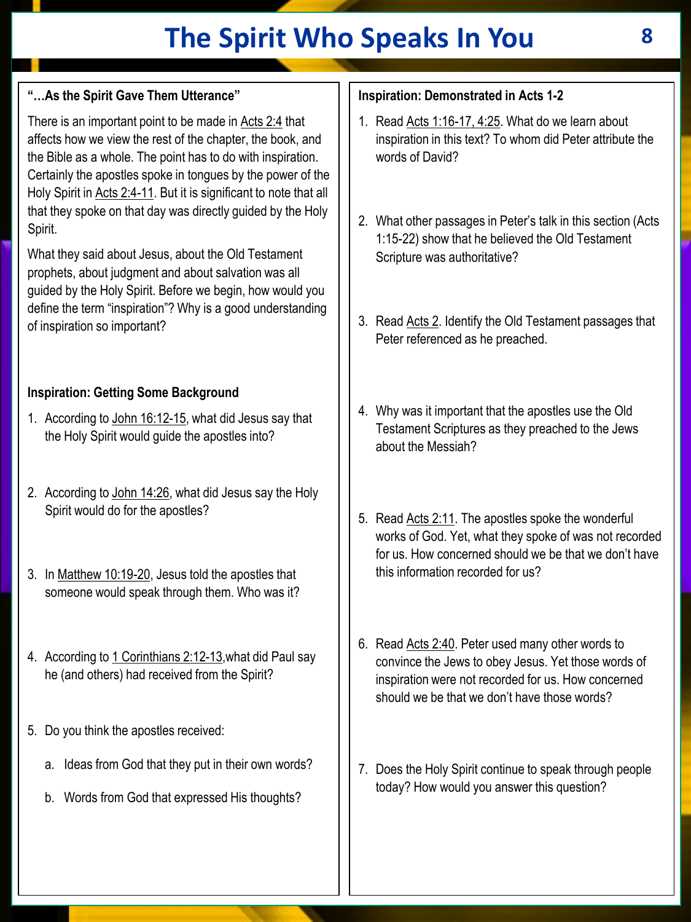# **The Spirit Who Speaks In You 8**

## **"…As the Spirit Gave Them Utterance"**

There is an important point to be made in Acts 2:4 that affects how we view the rest of the chapter, the book, and the Bible as a whole. The point has to do with inspiration. Certainly the apostles spoke in tongues by the power of the Holy Spirit in Acts 2:4-11. But it is significant to note that all that they spoke on that day was directly guided by the Holy Spirit.

What they said about Jesus, about the Old Testament prophets, about judgment and about salvation was all guided by the Holy Spirit. Before we begin, how would you define the term "inspiration"? Why is a good understanding of inspiration so important?

## **Inspiration: Getting Some Background**

- 1. According to John 16:12-15, what did Jesus say that the Holy Spirit would guide the apostles into?
- 2. According to John 14:26, what did Jesus say the Holy Spirit would do for the apostles?
- 3. In Matthew 10:19-20, Jesus told the apostles that someone would speak through them. Who was it?
- 4. According to 1 Corinthians 2:12-13,what did Paul say he (and others) had received from the Spirit?
- 5. Do you think the apostles received:
	- a. Ideas from God that they put in their own words?
	- b. Words from God that expressed His thoughts?

## **Inspiration: Demonstrated in Acts 1-2**

- 1. Read Acts 1:16-17, 4:25. What do we learn about inspiration in this text? To whom did Peter attribute the words of David?
- 2. What other passages in Peter's talk in this section (Acts 1:15-22) show that he believed the Old Testament Scripture was authoritative?
- 3. Read Acts 2. Identify the Old Testament passages that Peter referenced as he preached.
- 4. Why was it important that the apostles use the Old Testament Scriptures as they preached to the Jews about the Messiah?
- 5. Read Acts 2:11. The apostles spoke the wonderful works of God. Yet, what they spoke of was not recorded for us. How concerned should we be that we don't have this information recorded for us?
- 6. Read Acts 2:40. Peter used many other words to convince the Jews to obey Jesus. Yet those words of inspiration were not recorded for us. How concerned should we be that we don't have those words?
- 7. Does the Holy Spirit continue to speak through people today? How would you answer this question?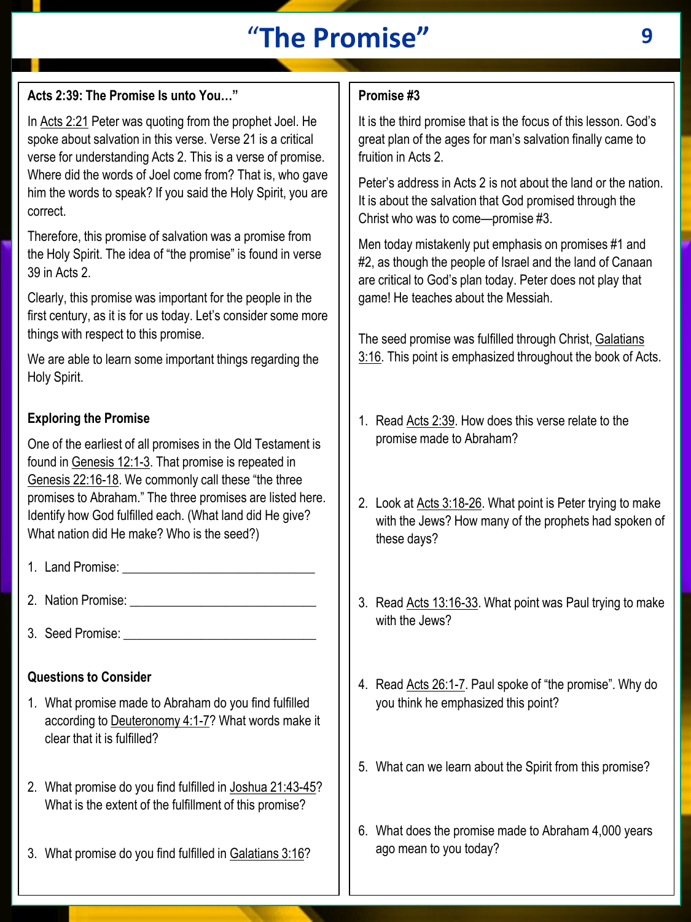# "**The Promise" 9**

### **Acts 2:39: The Promise Is unto You…"**

In Acts 2:21 Peter was quoting from the prophet Joel. He spoke about salvation in this verse. Verse 21 is a critical verse for understanding Acts 2. This is a verse of promise. Where did the words of Joel come from? That is, who gave him the words to speak? If you said the Holy Spirit, you are correct.

Therefore, this promise of salvation was a promise from the Holy Spirit. The idea of "the promise" is found in verse 39 in Acts 2.

Clearly, this promise was important for the people in the first century, as it is for us today. Let's consider some more things with respect to this promise.

We are able to learn some important things regarding the Holy Spirit.

#### **Exploring the Promise**

One of the earliest of all promises in the Old Testament is found in Genesis 12:1-3. That promise is repeated in Genesis 22:16-18. We commonly call these "the three promises to Abraham." The three promises are listed here. Identify how God fulfilled each. (What land did He give? What nation did He make? Who is the seed?)

- 1. Land Promise: \_\_\_\_\_\_\_\_\_\_\_\_\_\_\_\_\_\_\_\_\_\_\_\_\_\_\_\_\_\_
- 2. Nation Promise:  $\overline{\phantom{a}}$
- 3. Seed Promise: \_\_\_\_\_\_\_\_\_\_\_\_\_\_\_\_\_\_\_\_\_\_\_\_\_\_\_\_\_\_

#### **Questions to Consider**

- 1. What promise made to Abraham do you find fulfilled according to Deuteronomy 4:1-7? What words make it clear that it is fulfilled?
- 2. What promise do you find fulfilled in Joshua 21:43-45? What is the extent of the fulfillment of this promise?
- 3. What promise do you find fulfilled in Galatians 3:16?

#### **Promise #3**

It is the third promise that is the focus of this lesson. God's great plan of the ages for man's salvation finally came to fruition in Acts 2.

Peter's address in Acts 2 is not about the land or the nation. It is about the salvation that God promised through the Christ who was to come—promise #3.

Men today mistakenly put emphasis on promises #1 and #2, as though the people of Israel and the land of Canaan are critical to God's plan today. Peter does not play that game! He teaches about the Messiah.

The seed promise was fulfilled through Christ, Galatians 3:16. This point is emphasized throughout the book of Acts.

- 1. Read Acts 2:39. How does this verse relate to the promise made to Abraham?
- 2. Look at Acts 3:18-26. What point is Peter trying to make with the Jews? How many of the prophets had spoken of these days?
- 3. Read Acts 13:16-33. What point was Paul trying to make with the Jews?
- 4. Read Acts 26:1-7. Paul spoke of "the promise". Why do you think he emphasized this point?
- 5. What can we learn about the Spirit from this promise?
- 6. What does the promise made to Abraham 4,000 years ago mean to you today?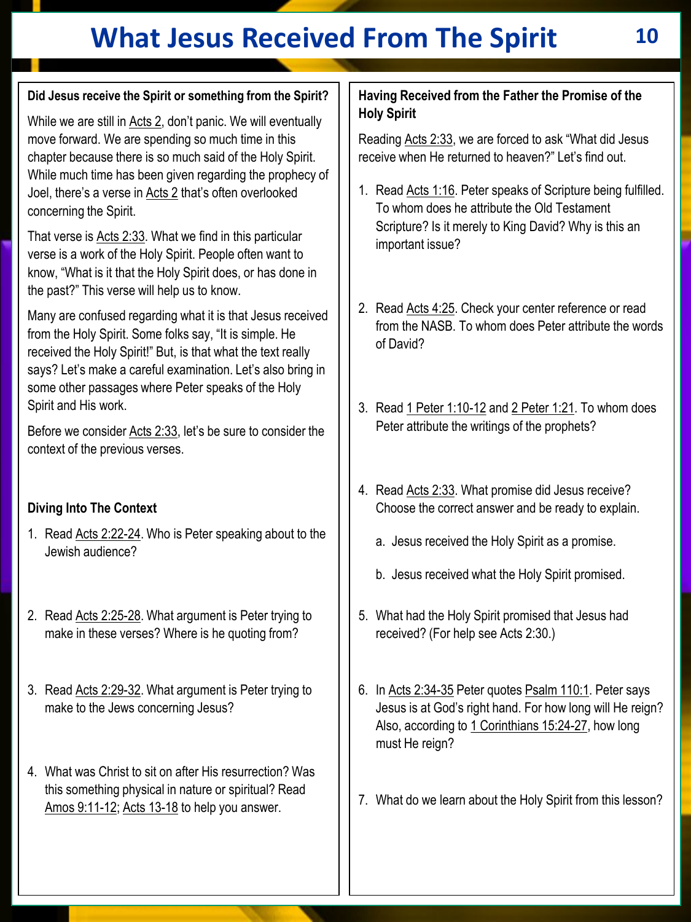# **What Jesus Received From The Spirit 10**

## **Did Jesus receive the Spirit or something from the Spirit?**

While we are still in Acts 2, don't panic. We will eventually move forward. We are spending so much time in this chapter because there is so much said of the Holy Spirit. While much time has been given regarding the prophecy of Joel, there's a verse in Acts 2 that's often overlooked concerning the Spirit.

That verse is Acts 2:33. What we find in this particular verse is a work of the Holy Spirit. People often want to know, "What is it that the Holy Spirit does, or has done in the past?" This verse will help us to know.

Many are confused regarding what it is that Jesus received from the Holy Spirit. Some folks say, "It is simple. He received the Holy Spirit!" But, is that what the text really says? Let's make a careful examination. Let's also bring in some other passages where Peter speaks of the Holy Spirit and His work.

Before we consider Acts 2:33, let's be sure to consider the context of the previous verses.

## **Diving Into The Context**

- 1. Read Acts 2:22-24. Who is Peter speaking about to the Jewish audience?
- 2. Read Acts 2:25-28. What argument is Peter trying to make in these verses? Where is he quoting from?
- 3. Read Acts 2:29-32. What argument is Peter trying to make to the Jews concerning Jesus?
- 4. What was Christ to sit on after His resurrection? Was this something physical in nature or spiritual? Read Amos 9:11-12; Acts 13-18 to help you answer.

#### **Having Received from the Father the Promise of the Holy Spirit**

Reading Acts 2:33, we are forced to ask "What did Jesus receive when He returned to heaven?" Let's find out.

- 1. Read Acts 1:16. Peter speaks of Scripture being fulfilled. To whom does he attribute the Old Testament Scripture? Is it merely to King David? Why is this an important issue?
- 2. Read Acts 4:25. Check your center reference or read from the NASB. To whom does Peter attribute the words of David?
- 3. Read 1 Peter 1:10-12 and 2 Peter 1:21. To whom does Peter attribute the writings of the prophets?
- 4. Read Acts 2:33. What promise did Jesus receive? Choose the correct answer and be ready to explain.
	- a. Jesus received the Holy Spirit as a promise.
	- b. Jesus received what the Holy Spirit promised.
- 5. What had the Holy Spirit promised that Jesus had received? (For help see Acts 2:30.)
- 6. In Acts 2:34-35 Peter quotes Psalm 110:1. Peter says Jesus is at God's right hand. For how long will He reign? Also, according to 1 Corinthians 15:24-27, how long must He reign?
- 7. What do we learn about the Holy Spirit from this lesson?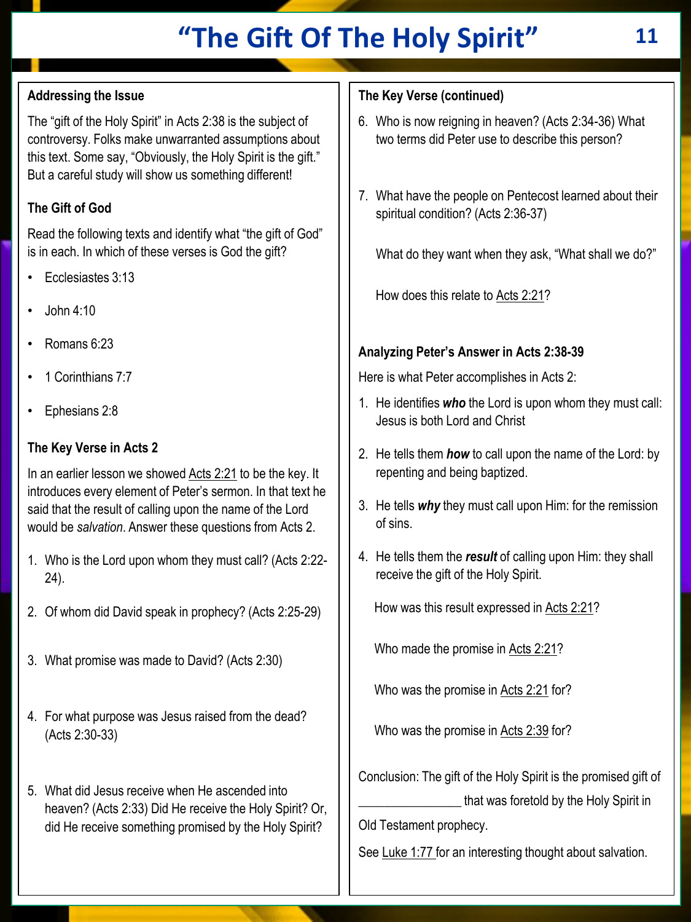# **"The Gift Of The Holy Spirit" 11**

## **Addressing the Issue**

The "gift of the Holy Spirit" in Acts 2:38 is the subject of controversy. Folks make unwarranted assumptions about this text. Some say, "Obviously, the Holy Spirit is the gift." But a careful study will show us something different!

## **The Gift of God**

Read the following texts and identify what "the gift of God" is in each. In which of these verses is God the gift?

- Ecclesiastes 3:13
- John 4:10
- Romans 6:23
- 1 Corinthians 7:7
- Ephesians 2:8

#### **The Key Verse in Acts 2**

In an earlier lesson we showed Acts 2:21 to be the key. It introduces every element of Peter's sermon. In that text he said that the result of calling upon the name of the Lord would be *salvation*. Answer these questions from Acts 2.

- 1. Who is the Lord upon whom they must call? (Acts 2:22- 24).
- 2. Of whom did David speak in prophecy? (Acts 2:25-29)
- 3. What promise was made to David? (Acts 2:30)
- 4. For what purpose was Jesus raised from the dead? (Acts 2:30-33)
- 5. What did Jesus receive when He ascended into heaven? (Acts 2:33) Did He receive the Holy Spirit? Or, did He receive something promised by the Holy Spirit?

## **The Key Verse (continued)**

- 6. Who is now reigning in heaven? (Acts 2:34-36) What two terms did Peter use to describe this person?
- 7. What have the people on Pentecost learned about their spiritual condition? (Acts 2:36-37)

What do they want when they ask, "What shall we do?"

How does this relate to Acts 2:21?

## **Analyzing Peter's Answer in Acts 2:38-39**

Here is what Peter accomplishes in Acts 2:

- 1. He identifies *who* the Lord is upon whom they must call: Jesus is both Lord and Christ
- 2. He tells them *how* to call upon the name of the Lord: by repenting and being baptized.
- 3. He tells *why* they must call upon Him: for the remission of sins.
- 4. He tells them the *result* of calling upon Him: they shall receive the gift of the Holy Spirit.

How was this result expressed in Acts 2:21?

Who made the promise in Acts 2:21?

Who was the promise in Acts 2:21 for?

Who was the promise in Acts 2:39 for?

Conclusion: The gift of the Holy Spirit is the promised gift of that was foretold by the Holy Spirit in

Old Testament prophecy.

See Luke 1:77 for an interesting thought about salvation.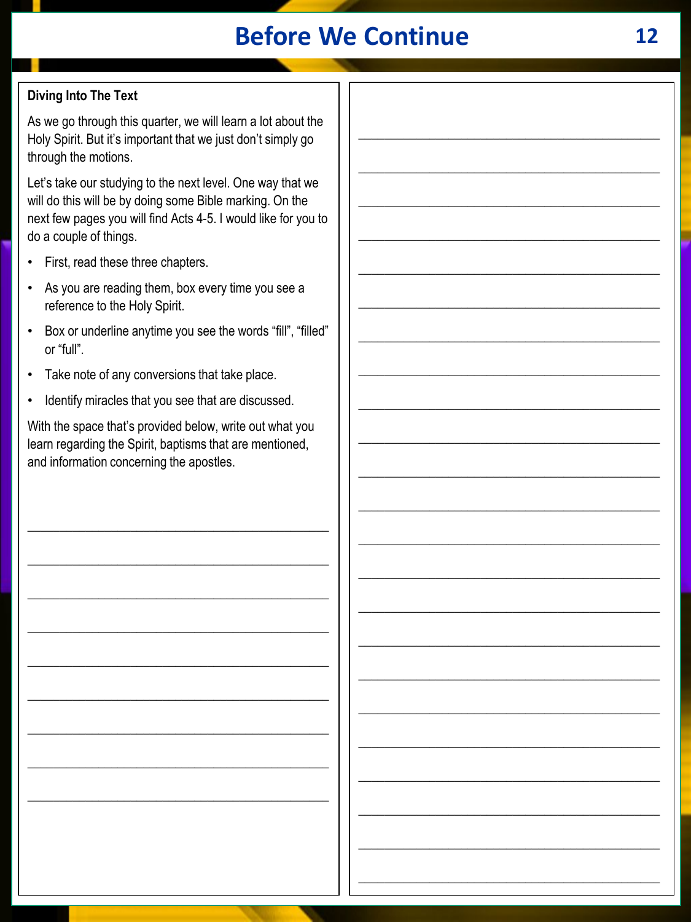# **Before We Continue**

## **Diving Into The Text**

As we go through this quarter, we will learn a lot about the Holy Spirit. But it's important that we just don't simply go through the motions.

Let's take our studying to the next level. One way that we will do this will be by doing some Bible marking. On the next few pages you will find Acts 4-5. I would like for you to do a couple of things.

- First, read these three chapters.
- As you are reading them, box every time you see a reference to the Holy Spirit.
- Box or underline anytime you see the words "fill", "filled" or "full".
- Take note of any conversions that take place.
- Identify miracles that you see that are discussed.

With the space that's provided below, write out what you learn regarding the Spirit, baptisms that are mentioned, and information concerning the apostles.

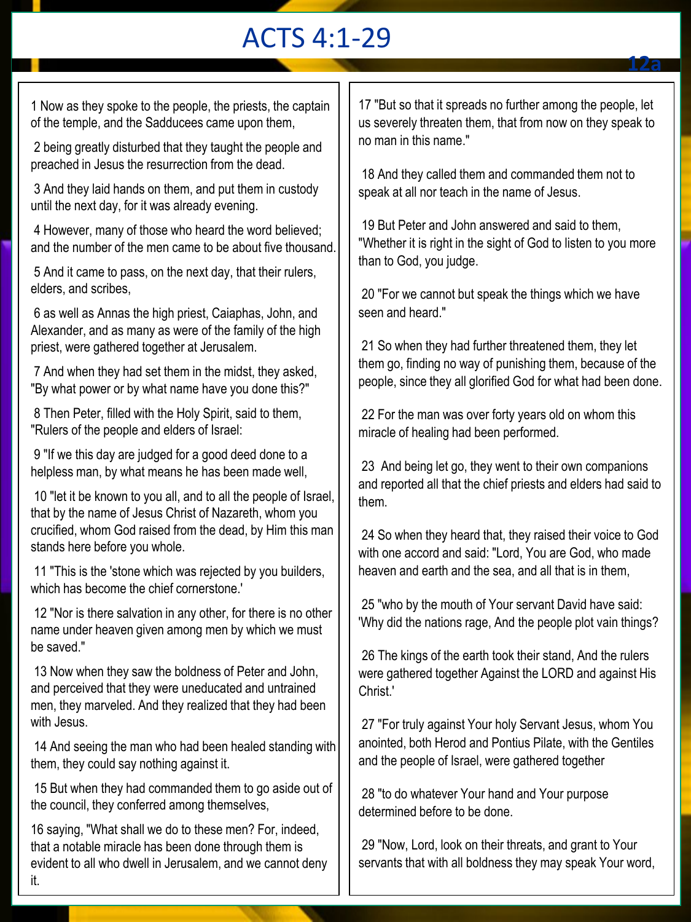## ACTS 4:1-29

1 Now as they spoke to the people, the priests, the captain of the temple, and the Sadducees came upon them,

2 being greatly disturbed that they taught the people and preached in Jesus the resurrection from the dead.

3 And they laid hands on them, and put them in custody until the next day, for it was already evening.

4 However, many of those who heard the word believed; and the number of the men came to be about five thousand.

5 And it came to pass, on the next day, that their rulers, elders, and scribes,

6 as well as Annas the high priest, Caiaphas, John, and Alexander, and as many as were of the family of the high priest, were gathered together at Jerusalem.

7 And when they had set them in the midst, they asked, "By what power or by what name have you done this?"

8 Then Peter, filled with the Holy Spirit, said to them, "Rulers of the people and elders of Israel:

9 "If we this day are judged for a good deed done to a helpless man, by what means he has been made well,

10 "let it be known to you all, and to all the people of Israel, that by the name of Jesus Christ of Nazareth, whom you crucified, whom God raised from the dead, by Him this man stands here before you whole.

11 "This is the 'stone which was rejected by you builders, which has become the chief cornerstone.'

12 "Nor is there salvation in any other, for there is no other name under heaven given among men by which we must be saved."

13 Now when they saw the boldness of Peter and John, and perceived that they were uneducated and untrained men, they marveled. And they realized that they had been with Jesus.

14 And seeing the man who had been healed standing with them, they could say nothing against it.

15 But when they had commanded them to go aside out of the council, they conferred among themselves,

16 saying, "What shall we do to these men? For, indeed, that a notable miracle has been done through them is evident to all who dwell in Jerusalem, and we cannot deny it.

17 "But so that it spreads no further among the people, let us severely threaten them, that from now on they speak to no man in this name."

**12a**

18 And they called them and commanded them not to speak at all nor teach in the name of Jesus.

19 But Peter and John answered and said to them, "Whether it is right in the sight of God to listen to you more than to God, you judge.

20 "For we cannot but speak the things which we have seen and heard."

21 So when they had further threatened them, they let them go, finding no way of punishing them, because of the people, since they all glorified God for what had been done.

22 For the man was over forty years old on whom this miracle of healing had been performed.

23 And being let go, they went to their own companions and reported all that the chief priests and elders had said to them.

24 So when they heard that, they raised their voice to God with one accord and said: "Lord, You are God, who made heaven and earth and the sea, and all that is in them,

25 "who by the mouth of Your servant David have said: 'Why did the nations rage, And the people plot vain things?

26 The kings of the earth took their stand, And the rulers were gathered together Against the LORD and against His Christ.'

27 "For truly against Your holy Servant Jesus, whom You anointed, both Herod and Pontius Pilate, with the Gentiles and the people of Israel, were gathered together

28 "to do whatever Your hand and Your purpose determined before to be done.

29 "Now, Lord, look on their threats, and grant to Your servants that with all boldness they may speak Your word,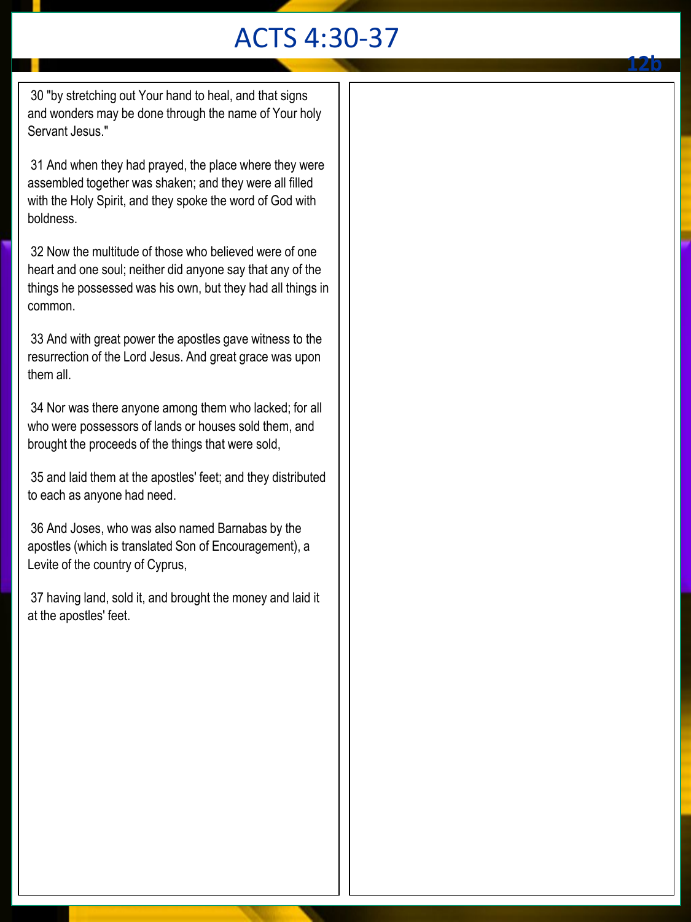# ACTS 4:30-37

**12b**

30 "by stretching out Your hand to heal, and that signs and wonders may be done through the name of Your holy Servant Jesus."

31 And when they had prayed, the place where they were assembled together was shaken; and they were all filled with the Holy Spirit, and they spoke the word of God with boldness.

32 Now the multitude of those who believed were of one heart and one soul; neither did anyone say that any of the things he possessed was his own, but they had all things in common.

33 And with great power the apostles gave witness to the resurrection of the Lord Jesus. And great grace was upon them all.

34 Nor was there anyone among them who lacked; for all who were possessors of lands or houses sold them, and brought the proceeds of the things that were sold,

35 and laid them at the apostles' feet; and they distributed to each as anyone had need.

36 And Joses, who was also named Barnabas by the apostles (which is translated Son of Encouragement), a Levite of the country of Cyprus,

37 having land, sold it, and brought the money and laid it at the apostles' feet.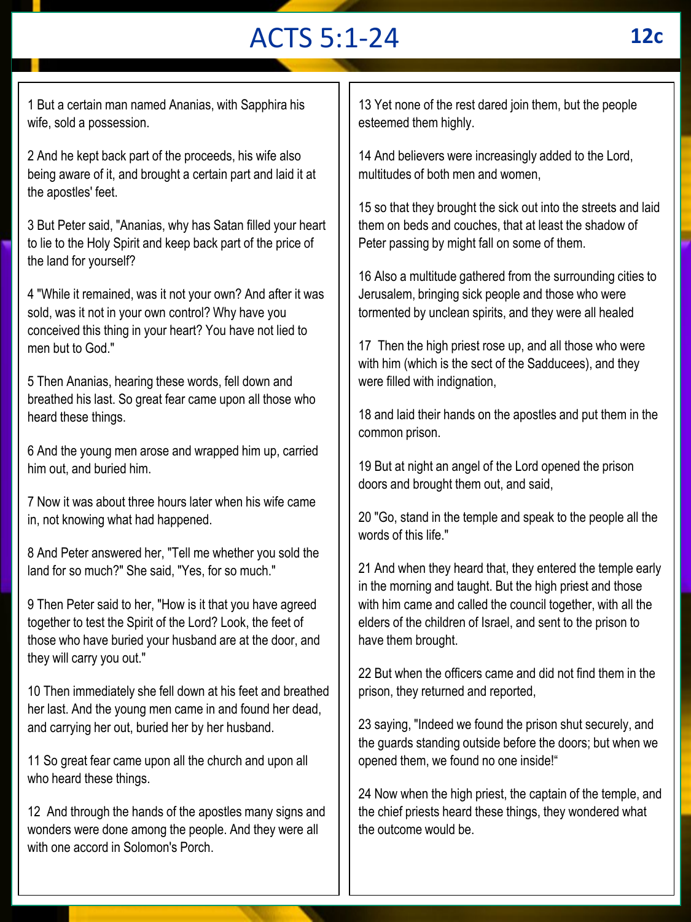# ACTS 5:1-24 **12c**

1 But a certain man named Ananias, with Sapphira his wife, sold a possession.

2 And he kept back part of the proceeds, his wife also being aware of it, and brought a certain part and laid it at the apostles' feet.

3 But Peter said, "Ananias, why has Satan filled your heart to lie to the Holy Spirit and keep back part of the price of the land for yourself?

4 "While it remained, was it not your own? And after it was sold, was it not in your own control? Why have you conceived this thing in your heart? You have not lied to men but to God."

5 Then Ananias, hearing these words, fell down and breathed his last. So great fear came upon all those who heard these things.

6 And the young men arose and wrapped him up, carried him out, and buried him.

7 Now it was about three hours later when his wife came in, not knowing what had happened.

8 And Peter answered her, "Tell me whether you sold the land for so much?" She said, "Yes, for so much."

9 Then Peter said to her, "How is it that you have agreed together to test the Spirit of the Lord? Look, the feet of those who have buried your husband are at the door, and they will carry you out."

10 Then immediately she fell down at his feet and breathed her last. And the young men came in and found her dead, and carrying her out, buried her by her husband.

11 So great fear came upon all the church and upon all who heard these things.

12 And through the hands of the apostles many signs and wonders were done among the people. And they were all with one accord in Solomon's Porch.

13 Yet none of the rest dared join them, but the people esteemed them highly.

14 And believers were increasingly added to the Lord, multitudes of both men and women,

15 so that they brought the sick out into the streets and laid them on beds and couches, that at least the shadow of Peter passing by might fall on some of them.

16 Also a multitude gathered from the surrounding cities to Jerusalem, bringing sick people and those who were tormented by unclean spirits, and they were all healed

17 Then the high priest rose up, and all those who were with him (which is the sect of the Sadducees), and they were filled with indignation,

18 and laid their hands on the apostles and put them in the common prison.

19 But at night an angel of the Lord opened the prison doors and brought them out, and said,

20 "Go, stand in the temple and speak to the people all the words of this life."

21 And when they heard that, they entered the temple early in the morning and taught. But the high priest and those with him came and called the council together, with all the elders of the children of Israel, and sent to the prison to have them brought.

22 But when the officers came and did not find them in the prison, they returned and reported,

23 saying, "Indeed we found the prison shut securely, and the guards standing outside before the doors; but when we opened them, we found no one inside!"

24 Now when the high priest, the captain of the temple, and the chief priests heard these things, they wondered what the outcome would be.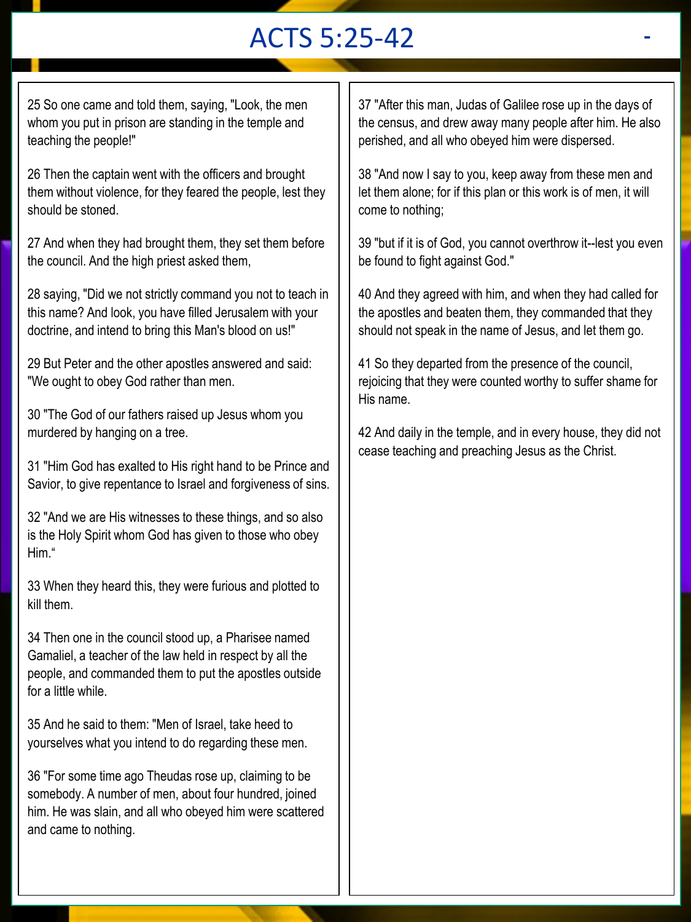# ACTS 5:25-42 **-**

25 So one came and told them, saying, "Look, the men whom you put in prison are standing in the temple and teaching the people!"

26 Then the captain went with the officers and brought them without violence, for they feared the people, lest they should be stoned.

27 And when they had brought them, they set them before the council. And the high priest asked them,

28 saying, "Did we not strictly command you not to teach in this name? And look, you have filled Jerusalem with your doctrine, and intend to bring this Man's blood on us!"

29 But Peter and the other apostles answered and said: "We ought to obey God rather than men.

30 "The God of our fathers raised up Jesus whom you murdered by hanging on a tree.

31 "Him God has exalted to His right hand to be Prince and Savior, to give repentance to Israel and forgiveness of sins.

32 "And we are His witnesses to these things, and so also is the Holy Spirit whom God has given to those who obey Him."

33 When they heard this, they were furious and plotted to kill them.

34 Then one in the council stood up, a Pharisee named Gamaliel, a teacher of the law held in respect by all the people, and commanded them to put the apostles outside for a little while.

35 And he said to them: "Men of Israel, take heed to yourselves what you intend to do regarding these men.

36 "For some time ago Theudas rose up, claiming to be somebody. A number of men, about four hundred, joined him. He was slain, and all who obeyed him were scattered and came to nothing.

37 "After this man, Judas of Galilee rose up in the days of the census, and drew away many people after him. He also perished, and all who obeyed him were dispersed.

38 "And now I say to you, keep away from these men and let them alone; for if this plan or this work is of men, it will come to nothing;

39 "but if it is of God, you cannot overthrow it--lest you even be found to fight against God."

40 And they agreed with him, and when they had called for the apostles and beaten them, they commanded that they should not speak in the name of Jesus, and let them go.

41 So they departed from the presence of the council, rejoicing that they were counted worthy to suffer shame for His name.

42 And daily in the temple, and in every house, they did not cease teaching and preaching Jesus as the Christ.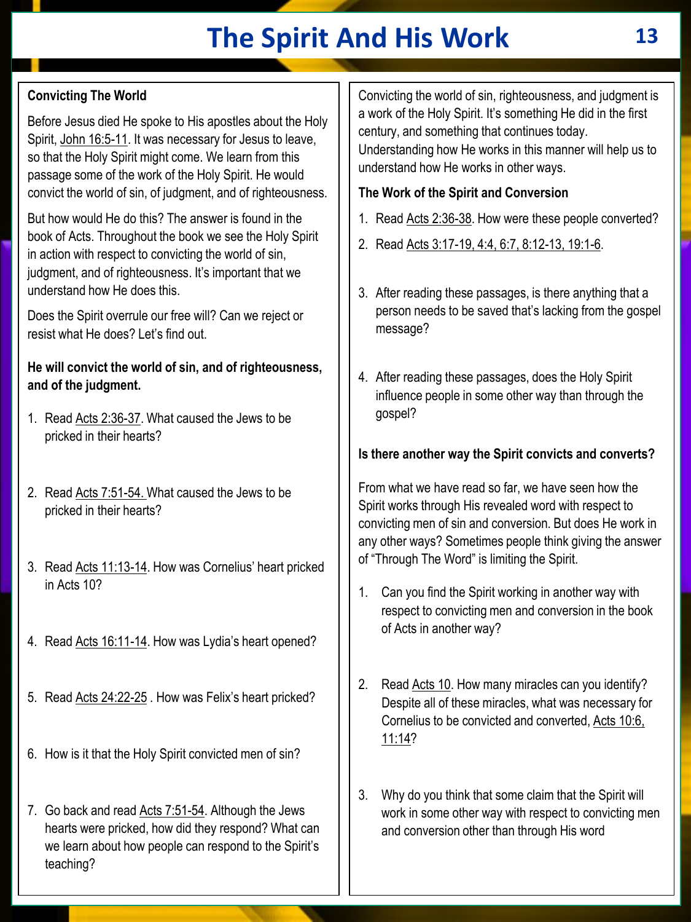# **The Spirit And His Work 13**

## **Convicting The World**

Before Jesus died He spoke to His apostles about the Holy Spirit, John 16:5-11. It was necessary for Jesus to leave, so that the Holy Spirit might come. We learn from this passage some of the work of the Holy Spirit. He would convict the world of sin, of judgment, and of righteousness.

But how would He do this? The answer is found in the book of Acts. Throughout the book we see the Holy Spirit in action with respect to convicting the world of sin, judgment, and of righteousness. It's important that we understand how He does this.

Does the Spirit overrule our free will? Can we reject or resist what He does? Let's find out.

#### **He will convict the world of sin, and of righteousness, and of the judgment.**

- 1. Read Acts 2:36-37. What caused the Jews to be pricked in their hearts?
- 2. Read Acts 7:51-54. What caused the Jews to be pricked in their hearts?
- 3. Read Acts 11:13-14. How was Cornelius' heart pricked in Acts 10?
- 4. Read Acts 16:11-14. How was Lydia's heart opened?
- 5. Read Acts 24:22-25 . How was Felix's heart pricked?
- 6. How is it that the Holy Spirit convicted men of sin?
- 7. Go back and read Acts 7:51-54. Although the Jews hearts were pricked, how did they respond? What can we learn about how people can respond to the Spirit's teaching?

Convicting the world of sin, righteousness, and judgment is a work of the Holy Spirit. It's something He did in the first century, and something that continues today. Understanding how He works in this manner will help us to understand how He works in other ways.

### **The Work of the Spirit and Conversion**

- 1. Read Acts 2:36-38. How were these people converted?
- 2. Read Acts 3:17-19, 4:4, 6:7, 8:12-13, 19:1-6.
- 3. After reading these passages, is there anything that a person needs to be saved that's lacking from the gospel message?
- 4. After reading these passages, does the Holy Spirit influence people in some other way than through the gospel?

## **Is there another way the Spirit convicts and converts?**

From what we have read so far, we have seen how the Spirit works through His revealed word with respect to convicting men of sin and conversion. But does He work in any other ways? Sometimes people think giving the answer of "Through The Word" is limiting the Spirit.

- 1. Can you find the Spirit working in another way with respect to convicting men and conversion in the book of Acts in another way?
- 2. Read Acts 10. How many miracles can you identify? Despite all of these miracles, what was necessary for Cornelius to be convicted and converted, Acts 10:6, 11:14?
- 3. Why do you think that some claim that the Spirit will work in some other way with respect to convicting men and conversion other than through His word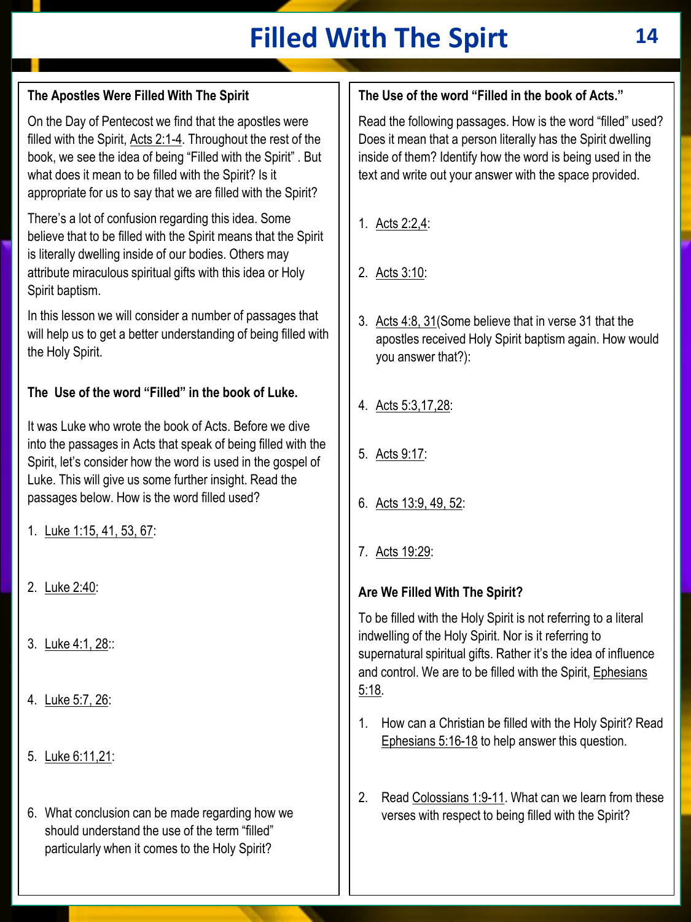# **Filled With The Spirt 14**

## **The Apostles Were Filled With The Spirit**

On the Day of Pentecost we find that the apostles were filled with the Spirit, Acts 2:1-4. Throughout the rest of the book, we see the idea of being "Filled with the Spirit" . But what does it mean to be filled with the Spirit? Is it appropriate for us to say that we are filled with the Spirit?

There's a lot of confusion regarding this idea. Some believe that to be filled with the Spirit means that the Spirit is literally dwelling inside of our bodies. Others may attribute miraculous spiritual gifts with this idea or Holy Spirit baptism.

In this lesson we will consider a number of passages that will help us to get a better understanding of being filled with the Holy Spirit.

## **The Use of the word "Filled" in the book of Luke.**

It was Luke who wrote the book of Acts. Before we dive into the passages in Acts that speak of being filled with the Spirit, let's consider how the word is used in the gospel of Luke. This will give us some further insight. Read the passages below. How is the word filled used?

- 1. Luke 1:15, 41, 53, 67:
- 2. Luke 2:40:
- 3. Luke 4:1, 28::
- 4. Luke 5:7, 26:
- 5. Luke 6:11,21:
- 6. What conclusion can be made regarding how we should understand the use of the term "filled" particularly when it comes to the Holy Spirit?

## **The Use of the word "Filled in the book of Acts."**

Read the following passages. How is the word "filled" used? Does it mean that a person literally has the Spirit dwelling inside of them? Identify how the word is being used in the text and write out your answer with the space provided.

- 1. Acts 2:2,4:
- 2. Acts 3:10:
- 3. Acts 4:8, 31(Some believe that in verse 31 that the apostles received Holy Spirit baptism again. How would you answer that?):
- 4. Acts 5:3,17,28:
- 5. Acts 9:17:
- 6. Acts 13:9, 49, 52:
- 7. Acts 19:29:

#### **Are We Filled With The Spirit?**

To be filled with the Holy Spirit is not referring to a literal indwelling of the Holy Spirit. Nor is it referring to supernatural spiritual gifts. Rather it's the idea of influence and control. We are to be filled with the Spirit, Ephesians 5:18.

- 1. How can a Christian be filled with the Holy Spirit? Read Ephesians 5:16-18 to help answer this question.
- 2. Read Colossians 1:9-11. What can we learn from these verses with respect to being filled with the Spirit?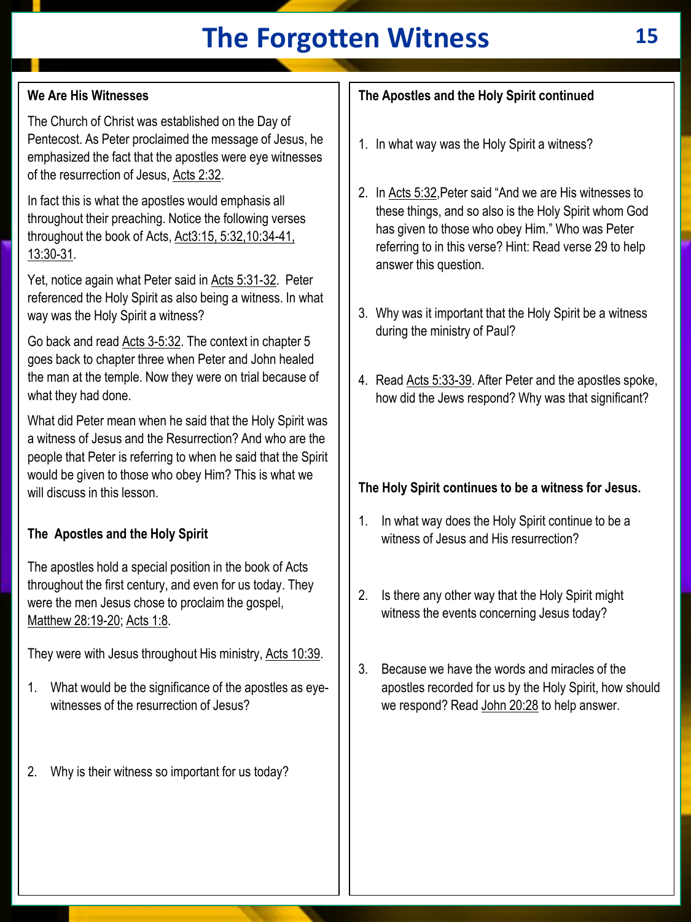# **The Forgotten Witness 15**

## **We Are His Witnesses**

The Church of Christ was established on the Day of Pentecost. As Peter proclaimed the message of Jesus, he emphasized the fact that the apostles were eye witnesses of the resurrection of Jesus, Acts 2:32.

In fact this is what the apostles would emphasis all throughout their preaching. Notice the following verses throughout the book of Acts, Act3:15, 5:32,10:34-41, 13:30-31.

Yet, notice again what Peter said in Acts 5:31-32. Peter referenced the Holy Spirit as also being a witness. In what way was the Holy Spirit a witness?

Go back and read Acts 3-5:32. The context in chapter 5 goes back to chapter three when Peter and John healed the man at the temple. Now they were on trial because of what they had done.

What did Peter mean when he said that the Holy Spirit was a witness of Jesus and the Resurrection? And who are the people that Peter is referring to when he said that the Spirit would be given to those who obey Him? This is what we will discuss in this lesson.

#### **The Apostles and the Holy Spirit**

The apostles hold a special position in the book of Acts throughout the first century, and even for us today. They were the men Jesus chose to proclaim the gospel, Matthew 28:19-20; Acts 1:8.

They were with Jesus throughout His ministry, Acts 10:39.

- 1. What would be the significance of the apostles as eyewitnesses of the resurrection of Jesus?
- 2. Why is their witness so important for us today?

## **The Apostles and the Holy Spirit continued**

- 1. In what way was the Holy Spirit a witness?
- 2. In Acts 5:32,Peter said "And we are His witnesses to these things, and so also is the Holy Spirit whom God has given to those who obey Him." Who was Peter referring to in this verse? Hint: Read verse 29 to help answer this question.
- 3. Why was it important that the Holy Spirit be a witness during the ministry of Paul?
- 4. Read Acts 5:33-39. After Peter and the apostles spoke, how did the Jews respond? Why was that significant?

## **The Holy Spirit continues to be a witness for Jesus.**

- 1. In what way does the Holy Spirit continue to be a witness of Jesus and His resurrection?
- 2. Is there any other way that the Holy Spirit might witness the events concerning Jesus today?
- 3. Because we have the words and miracles of the apostles recorded for us by the Holy Spirit, how should we respond? Read John 20:28 to help answer.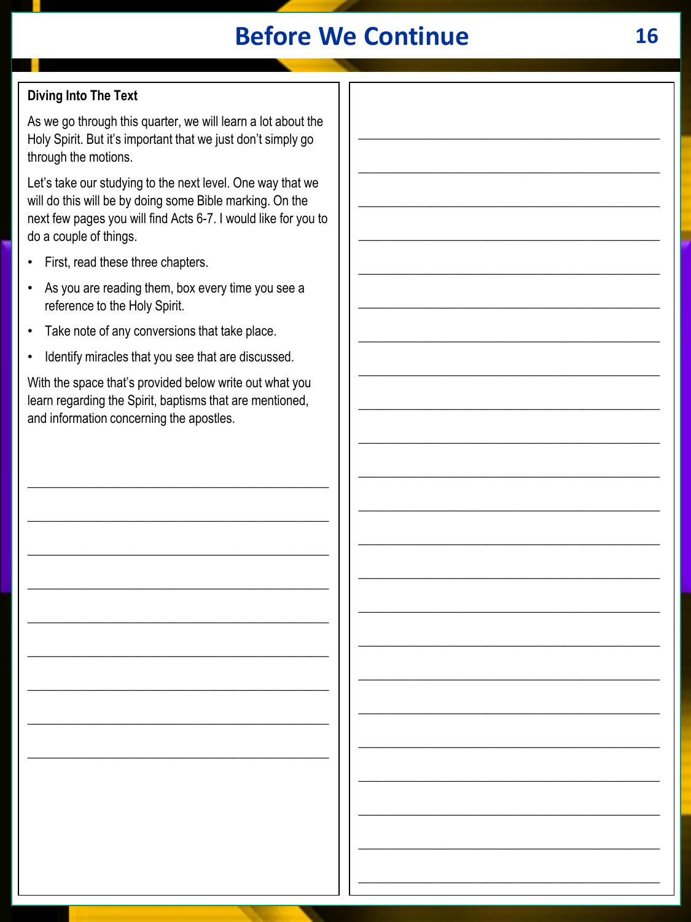## **Before We Continue**

## **Diving Into The Text**

As we go through this quarter, we will learn a lot about the Holy Spirit. But it's important that we just don't simply go through the motions.

Let's take our studying to the next level. One way that we will do this will be by doing some Bible marking. On the next few pages you will find Acts 6-7. I would like for you to do a couple of things.

- First, read these three chapters.
- As you are reading them, box every time you see a reference to the Holy Spirit.
- Take note of any conversions that take place.  $\bullet$
- Identify miracles that you see that are discussed.

With the space that's provided below write out what you learn regarding the Spirit, baptisms that are mentioned, and information concerning the apostles.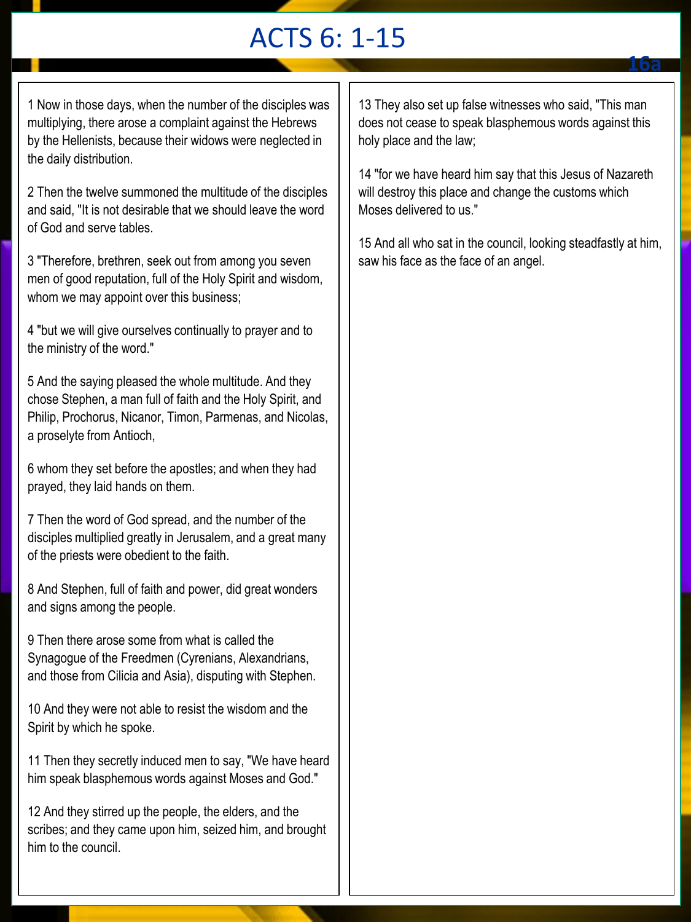# ACTS 6: 1-15

1 Now in those days, when the number of the disciples was multiplying, there arose a complaint against the Hebrews by the Hellenists, because their widows were neglected in the daily distribution.

2 Then the twelve summoned the multitude of the disciples and said, "It is not desirable that we should leave the word of God and serve tables.

3 "Therefore, brethren, seek out from among you seven men of good reputation, full of the Holy Spirit and wisdom, whom we may appoint over this business;

4 "but we will give ourselves continually to prayer and to the ministry of the word."

5 And the saying pleased the whole multitude. And they chose Stephen, a man full of faith and the Holy Spirit, and Philip, Prochorus, Nicanor, Timon, Parmenas, and Nicolas, a proselyte from Antioch,

6 whom they set before the apostles; and when they had prayed, they laid hands on them.

7 Then the word of God spread, and the number of the disciples multiplied greatly in Jerusalem, and a great many of the priests were obedient to the faith.

8 And Stephen, full of faith and power, did great wonders and signs among the people.

9 Then there arose some from what is called the Synagogue of the Freedmen (Cyrenians, Alexandrians, and those from Cilicia and Asia), disputing with Stephen.

10 And they were not able to resist the wisdom and the Spirit by which he spoke.

11 Then they secretly induced men to say, "We have heard him speak blasphemous words against Moses and God."

12 And they stirred up the people, the elders, and the scribes; and they came upon him, seized him, and brought him to the council.

13 They also set up false witnesses who said, "This man does not cease to speak blasphemous words against this holy place and the law;

14 "for we have heard him say that this Jesus of Nazareth will destroy this place and change the customs which Moses delivered to us."

15 And all who sat in the council, looking steadfastly at him, saw his face as the face of an angel.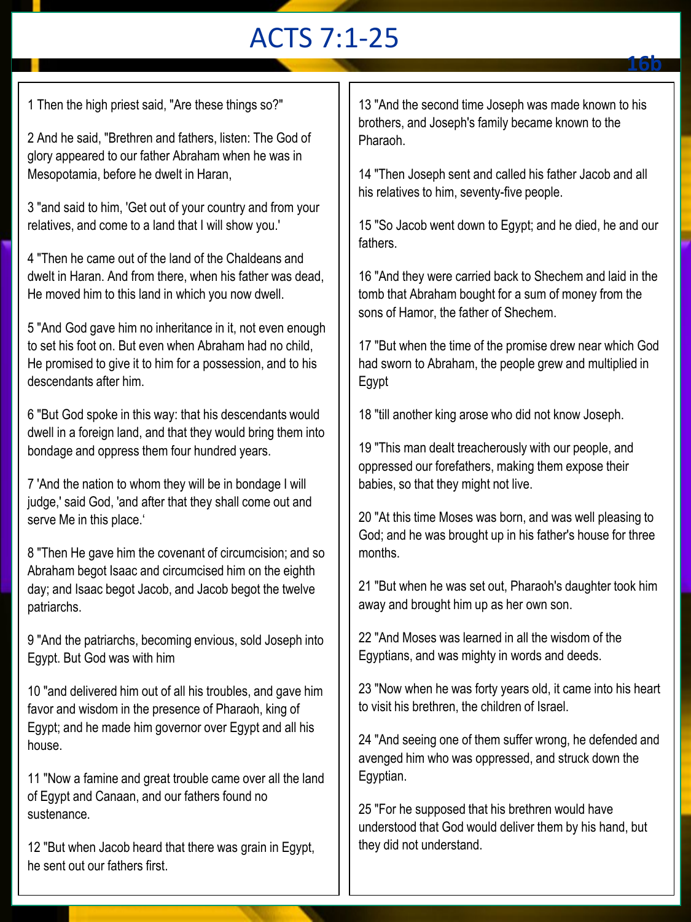# ACTS 7:1-25

1 Then the high priest said, "Are these things so?"

2 And he said, "Brethren and fathers, listen: The God of glory appeared to our father Abraham when he was in Mesopotamia, before he dwelt in Haran,

3 "and said to him, 'Get out of your country and from your relatives, and come to a land that I will show you.'

4 "Then he came out of the land of the Chaldeans and dwelt in Haran. And from there, when his father was dead, He moved him to this land in which you now dwell.

5 "And God gave him no inheritance in it, not even enough to set his foot on. But even when Abraham had no child, He promised to give it to him for a possession, and to his descendants after him.

6 "But God spoke in this way: that his descendants would dwell in a foreign land, and that they would bring them into bondage and oppress them four hundred years.

7 'And the nation to whom they will be in bondage I will judge,' said God, 'and after that they shall come out and serve Me in this place.'

8 "Then He gave him the covenant of circumcision; and so Abraham begot Isaac and circumcised him on the eighth day; and Isaac begot Jacob, and Jacob begot the twelve patriarchs.

9 "And the patriarchs, becoming envious, sold Joseph into Egypt. But God was with him

10 "and delivered him out of all his troubles, and gave him favor and wisdom in the presence of Pharaoh, king of Egypt; and he made him governor over Egypt and all his house.

11 "Now a famine and great trouble came over all the land of Egypt and Canaan, and our fathers found no sustenance.

12 "But when Jacob heard that there was grain in Egypt, he sent out our fathers first.

13 "And the second time Joseph was made known to his brothers, and Joseph's family became known to the Pharaoh.

14 "Then Joseph sent and called his father Jacob and all his relatives to him, seventy-five people.

15 "So Jacob went down to Egypt; and he died, he and our fathers.

16 "And they were carried back to Shechem and laid in the tomb that Abraham bought for a sum of money from the sons of Hamor, the father of Shechem.

17 "But when the time of the promise drew near which God had sworn to Abraham, the people grew and multiplied in Egypt

18 "till another king arose who did not know Joseph.

19 "This man dealt treacherously with our people, and oppressed our forefathers, making them expose their babies, so that they might not live.

20 "At this time Moses was born, and was well pleasing to God; and he was brought up in his father's house for three months.

21 "But when he was set out, Pharaoh's daughter took him away and brought him up as her own son.

22 "And Moses was learned in all the wisdom of the Egyptians, and was mighty in words and deeds.

23 "Now when he was forty years old, it came into his heart to visit his brethren, the children of Israel.

24 "And seeing one of them suffer wrong, he defended and avenged him who was oppressed, and struck down the Egyptian.

25 "For he supposed that his brethren would have understood that God would deliver them by his hand, but they did not understand.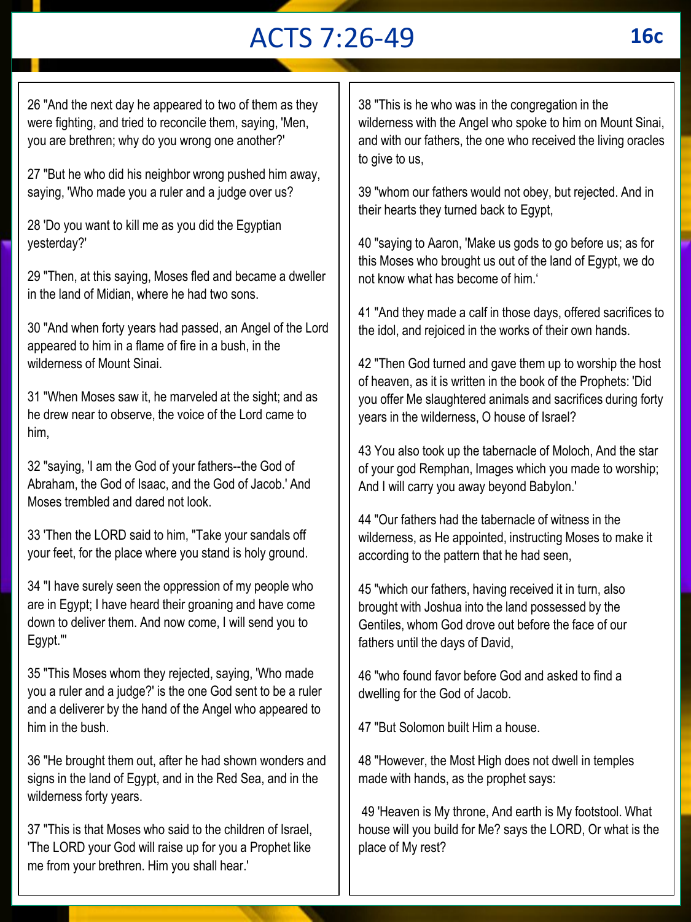# ACTS 7:26-49 **16c**

26 "And the next day he appeared to two of them as they were fighting, and tried to reconcile them, saying, 'Men, you are brethren; why do you wrong one another?'

27 "But he who did his neighbor wrong pushed him away, saying, 'Who made you a ruler and a judge over us?

28 'Do you want to kill me as you did the Egyptian yesterday?'

29 "Then, at this saying, Moses fled and became a dweller in the land of Midian, where he had two sons.

30 "And when forty years had passed, an Angel of the Lord appeared to him in a flame of fire in a bush, in the wilderness of Mount Sinai.

31 "When Moses saw it, he marveled at the sight; and as he drew near to observe, the voice of the Lord came to him,

32 "saying, 'I am the God of your fathers--the God of Abraham, the God of Isaac, and the God of Jacob.' And Moses trembled and dared not look.

33 'Then the LORD said to him, "Take your sandals off your feet, for the place where you stand is holy ground.

34 "I have surely seen the oppression of my people who are in Egypt; I have heard their groaning and have come down to deliver them. And now come, I will send you to Egypt."'

35 "This Moses whom they rejected, saying, 'Who made you a ruler and a judge?' is the one God sent to be a ruler and a deliverer by the hand of the Angel who appeared to him in the bush.

36 "He brought them out, after he had shown wonders and signs in the land of Egypt, and in the Red Sea, and in the wilderness forty years.

37 "This is that Moses who said to the children of Israel, 'The LORD your God will raise up for you a Prophet like me from your brethren. Him you shall hear.'

38 "This is he who was in the congregation in the wilderness with the Angel who spoke to him on Mount Sinai, and with our fathers, the one who received the living oracles to give to us,

39 "whom our fathers would not obey, but rejected. And in their hearts they turned back to Egypt,

40 "saying to Aaron, 'Make us gods to go before us; as for this Moses who brought us out of the land of Egypt, we do not know what has become of him.'

41 "And they made a calf in those days, offered sacrifices to the idol, and rejoiced in the works of their own hands.

42 "Then God turned and gave them up to worship the host of heaven, as it is written in the book of the Prophets: 'Did you offer Me slaughtered animals and sacrifices during forty years in the wilderness, O house of Israel?

43 You also took up the tabernacle of Moloch, And the star of your god Remphan, Images which you made to worship; And I will carry you away beyond Babylon.'

44 "Our fathers had the tabernacle of witness in the wilderness, as He appointed, instructing Moses to make it according to the pattern that he had seen,

45 "which our fathers, having received it in turn, also brought with Joshua into the land possessed by the Gentiles, whom God drove out before the face of our fathers until the days of David,

46 "who found favor before God and asked to find a dwelling for the God of Jacob.

47 "But Solomon built Him a house.

48 "However, the Most High does not dwell in temples made with hands, as the prophet says:

49 'Heaven is My throne, And earth is My footstool. What house will you build for Me? says the LORD, Or what is the place of My rest?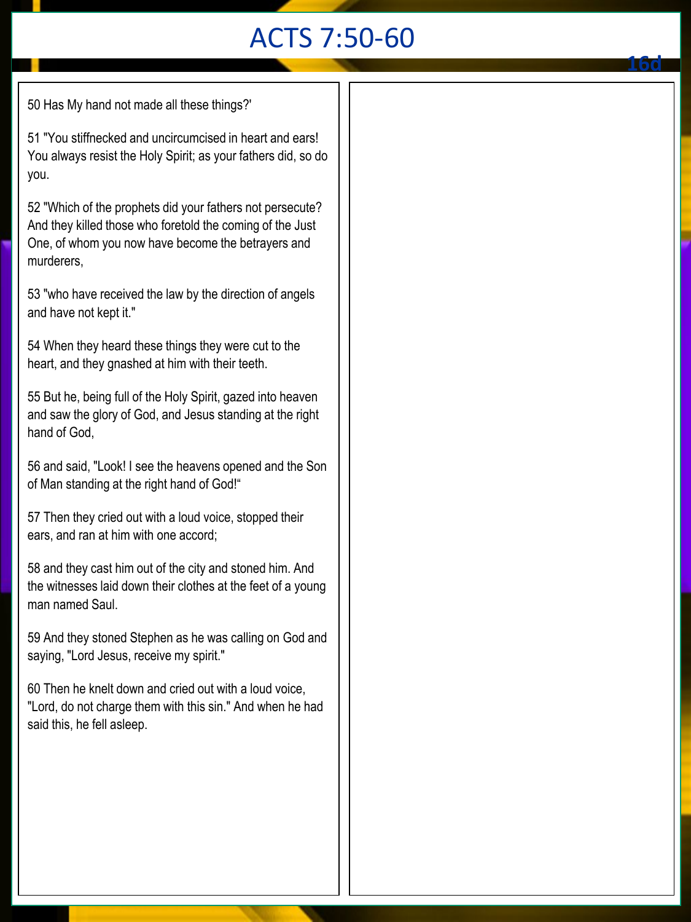# ACTS 7:50-60

50 Has My hand not made all these things?'

51 "You stiffnecked and uncircumcised in heart and ears! You always resist the Holy Spirit; as your fathers did, so do you.

52 "Which of the prophets did your fathers not persecute? And they killed those who foretold the coming of the Just One, of whom you now have become the betrayers and murderers,

53 "who have received the law by the direction of angels and have not kept it."

54 When they heard these things they were cut to the heart, and they gnashed at him with their teeth.

55 But he, being full of the Holy Spirit, gazed into heaven and saw the glory of God, and Jesus standing at the right hand of God,

56 and said, "Look! I see the heavens opened and the Son of Man standing at the right hand of God!"

57 Then they cried out with a loud voice, stopped their ears, and ran at him with one accord;

58 and they cast him out of the city and stoned him. And the witnesses laid down their clothes at the feet of a young man named Saul.

59 And they stoned Stephen as he was calling on God and saying, "Lord Jesus, receive my spirit."

60 Then he knelt down and cried out with a loud voice, "Lord, do not charge them with this sin." And when he had said this, he fell asleep.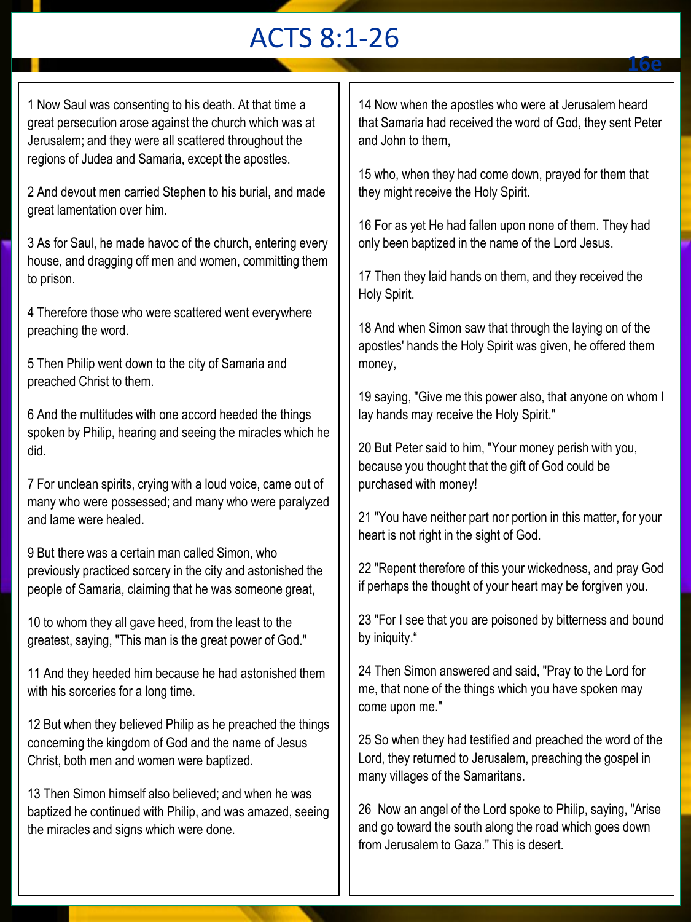# ACTS 8:1-26

1 Now Saul was consenting to his death. At that time a great persecution arose against the church which was at Jerusalem; and they were all scattered throughout the regions of Judea and Samaria, except the apostles.

2 And devout men carried Stephen to his burial, and made great lamentation over him.

3 As for Saul, he made havoc of the church, entering every house, and dragging off men and women, committing them to prison.

4 Therefore those who were scattered went everywhere preaching the word.

5 Then Philip went down to the city of Samaria and preached Christ to them.

6 And the multitudes with one accord heeded the things spoken by Philip, hearing and seeing the miracles which he did.

7 For unclean spirits, crying with a loud voice, came out of many who were possessed; and many who were paralyzed and lame were healed.

9 But there was a certain man called Simon, who previously practiced sorcery in the city and astonished the people of Samaria, claiming that he was someone great,

10 to whom they all gave heed, from the least to the greatest, saying, "This man is the great power of God."

11 And they heeded him because he had astonished them with his sorceries for a long time.

12 But when they believed Philip as he preached the things concerning the kingdom of God and the name of Jesus Christ, both men and women were baptized.

13 Then Simon himself also believed; and when he was baptized he continued with Philip, and was amazed, seeing the miracles and signs which were done.

14 Now when the apostles who were at Jerusalem heard that Samaria had received the word of God, they sent Peter and John to them,

15 who, when they had come down, prayed for them that they might receive the Holy Spirit.

16 For as yet He had fallen upon none of them. They had only been baptized in the name of the Lord Jesus.

17 Then they laid hands on them, and they received the Holy Spirit.

18 And when Simon saw that through the laying on of the apostles' hands the Holy Spirit was given, he offered them money,

19 saying, "Give me this power also, that anyone on whom I lay hands may receive the Holy Spirit."

20 But Peter said to him, "Your money perish with you, because you thought that the gift of God could be purchased with money!

21 "You have neither part nor portion in this matter, for your heart is not right in the sight of God.

22 "Repent therefore of this your wickedness, and pray God if perhaps the thought of your heart may be forgiven you.

23 "For I see that you are poisoned by bitterness and bound by iniquity."

24 Then Simon answered and said, "Pray to the Lord for me, that none of the things which you have spoken may come upon me."

25 So when they had testified and preached the word of the Lord, they returned to Jerusalem, preaching the gospel in many villages of the Samaritans.

26 Now an angel of the Lord spoke to Philip, saying, "Arise and go toward the south along the road which goes down from Jerusalem to Gaza." This is desert.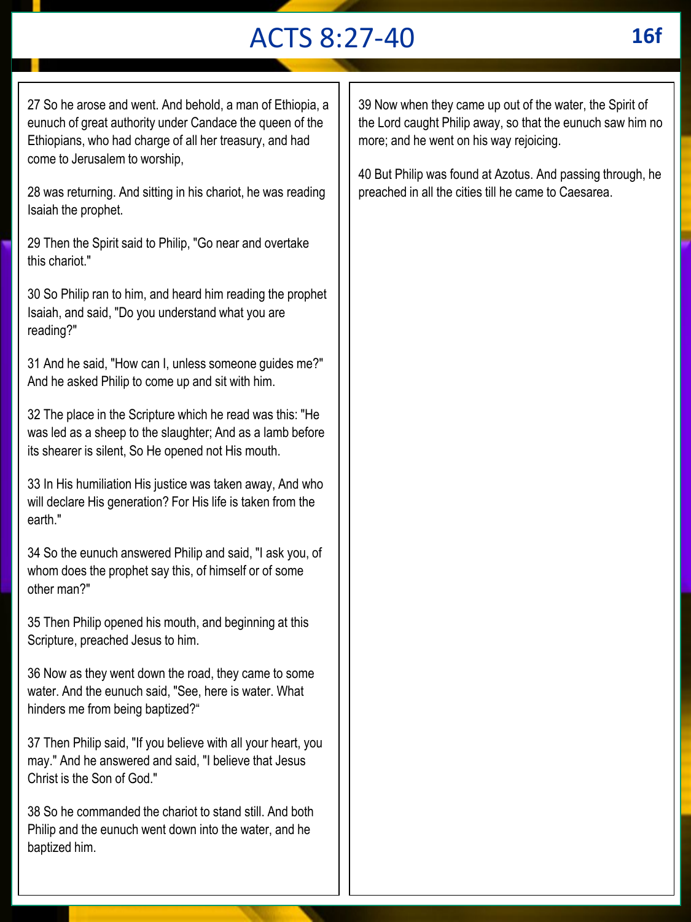# ACTS 8:27-40 **16f**

27 So he arose and went. And behold, a man of Ethiopia, a eunuch of great authority under Candace the queen of the Ethiopians, who had charge of all her treasury, and had come to Jerusalem to worship,

28 was returning. And sitting in his chariot, he was reading Isaiah the prophet.

29 Then the Spirit said to Philip, "Go near and overtake this chariot."

30 So Philip ran to him, and heard him reading the prophet Isaiah, and said, "Do you understand what you are reading?"

31 And he said, "How can I, unless someone guides me?" And he asked Philip to come up and sit with him.

32 The place in the Scripture which he read was this: "He was led as a sheep to the slaughter; And as a lamb before its shearer is silent, So He opened not His mouth.

33 In His humiliation His justice was taken away, And who will declare His generation? For His life is taken from the earth."

34 So the eunuch answered Philip and said, "I ask you, of whom does the prophet say this, of himself or of some other man?"

35 Then Philip opened his mouth, and beginning at this Scripture, preached Jesus to him.

36 Now as they went down the road, they came to some water. And the eunuch said, "See, here is water. What hinders me from being baptized?"

37 Then Philip said, "If you believe with all your heart, you may." And he answered and said, "I believe that Jesus Christ is the Son of God."

38 So he commanded the chariot to stand still. And both Philip and the eunuch went down into the water, and he baptized him.

39 Now when they came up out of the water, the Spirit of the Lord caught Philip away, so that the eunuch saw him no more; and he went on his way rejoicing.

40 But Philip was found at Azotus. And passing through, he preached in all the cities till he came to Caesarea.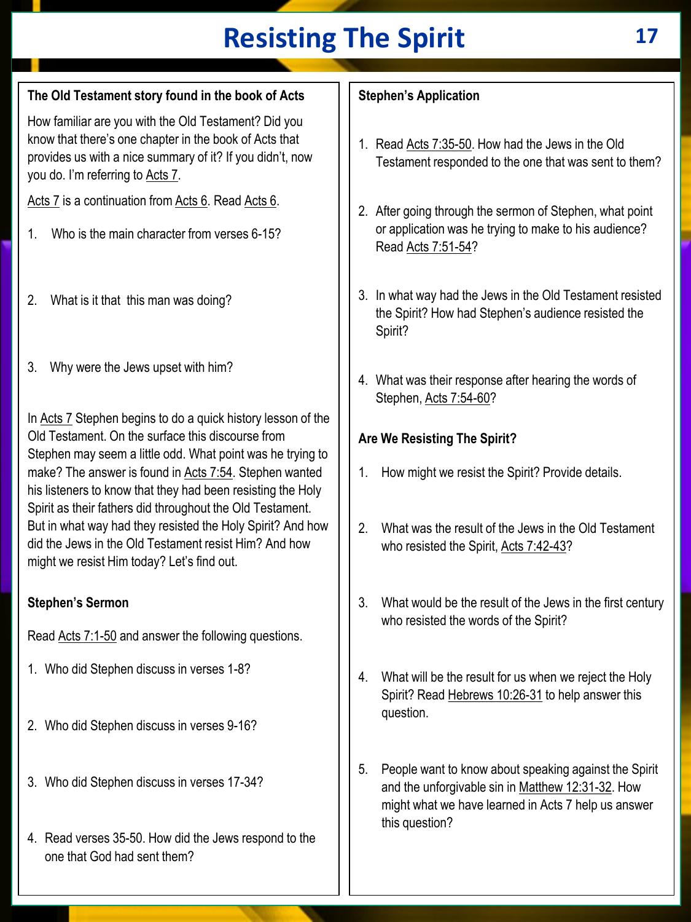# **Resisting The Spirit 17**

## **The Old Testament story found in the book of Acts**

How familiar are you with the Old Testament? Did you know that there's one chapter in the book of Acts that provides us with a nice summary of it? If you didn't, now you do. I'm referring to Acts 7.

Acts 7 is a continuation from Acts 6. Read Acts 6.

- 1. Who is the main character from verses 6-15?
- 2. What is it that this man was doing?
- 3. Why were the Jews upset with him?

In Acts 7 Stephen begins to do a quick history lesson of the Old Testament. On the surface this discourse from Stephen may seem a little odd. What point was he trying to make? The answer is found in Acts 7:54. Stephen wanted his listeners to know that they had been resisting the Holy Spirit as their fathers did throughout the Old Testament. But in what way had they resisted the Holy Spirit? And how did the Jews in the Old Testament resist Him? And how might we resist Him today? Let's find out.

#### **Stephen's Sermon**

Read Acts 7:1-50 and answer the following questions.

- 1. Who did Stephen discuss in verses 1-8?
- 2. Who did Stephen discuss in verses 9-16?
- 3. Who did Stephen discuss in verses 17-34?
- 4. Read verses 35-50. How did the Jews respond to the one that God had sent them?

## **Stephen's Application**

- 1. Read Acts 7:35-50. How had the Jews in the Old Testament responded to the one that was sent to them?
- 2. After going through the sermon of Stephen, what point or application was he trying to make to his audience? Read Acts 7:51-54?
- 3. In what way had the Jews in the Old Testament resisted the Spirit? How had Stephen's audience resisted the Spirit?
- 4. What was their response after hearing the words of Stephen, Acts 7:54-60?

## **Are We Resisting The Spirit?**

- 1. How might we resist the Spirit? Provide details.
- 2. What was the result of the Jews in the Old Testament who resisted the Spirit, Acts 7:42-43?
- 3. What would be the result of the Jews in the first century who resisted the words of the Spirit?
- 4. What will be the result for us when we reject the Holy Spirit? Read Hebrews 10:26-31 to help answer this question.
- 5. People want to know about speaking against the Spirit and the unforgivable sin in Matthew 12:31-32. How might what we have learned in Acts 7 help us answer this question?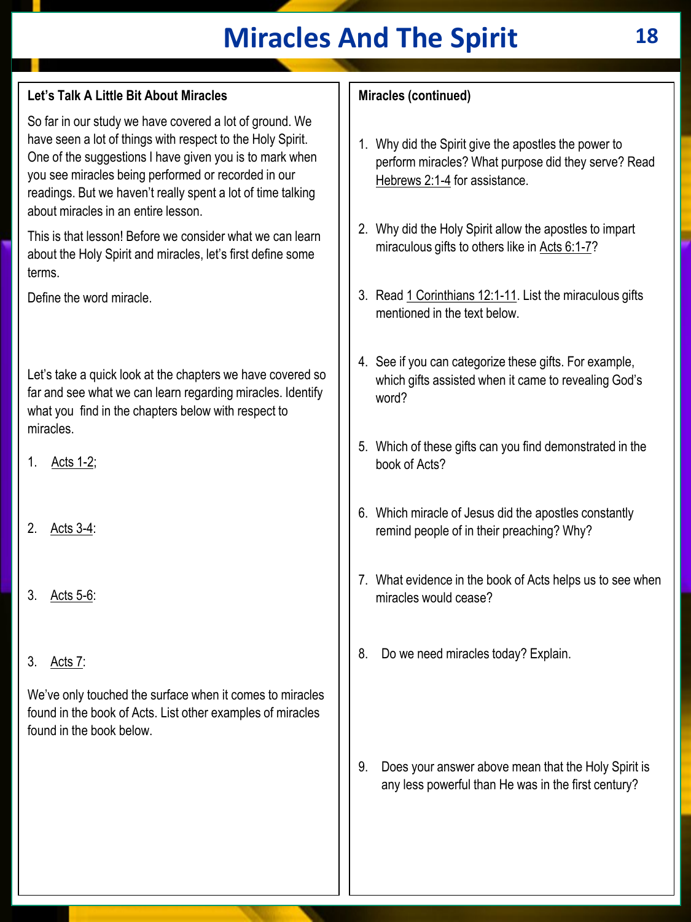# **Miracles And The Spirit 18**

#### **Let's Talk A Little Bit About Miracles**

So far in our study we have covered a lot of ground. We have seen a lot of things with respect to the Holy Spirit. One of the suggestions I have given you is to mark when you see miracles being performed or recorded in our readings. But we haven't really spent a lot of time talking about miracles in an entire lesson.

This is that lesson! Before we consider what we can learn about the Holy Spirit and miracles, let's first define some terms.

Define the word miracle.

Let's take a quick look at the chapters we have covered so far and see what we can learn regarding miracles. Identify what you find in the chapters below with respect to miracles.

1. Acts 1-2;

- 2. Acts 3-4:
- 3. Acts 5-6:
- 3. Acts 7:

We've only touched the surface when it comes to miracles found in the book of Acts. List other examples of miracles found in the book below.

#### **Miracles (continued)**

- 1. Why did the Spirit give the apostles the power to perform miracles? What purpose did they serve? Read Hebrews 2:1-4 for assistance.
- 2. Why did the Holy Spirit allow the apostles to impart miraculous gifts to others like in Acts 6:1-7?
- 3. Read 1 Corinthians 12:1-11. List the miraculous gifts mentioned in the text below.
- 4. See if you can categorize these gifts. For example, which gifts assisted when it came to revealing God's word?
- 5. Which of these gifts can you find demonstrated in the book of Acts?
- 6. Which miracle of Jesus did the apostles constantly remind people of in their preaching? Why?
- 7. What evidence in the book of Acts helps us to see when miracles would cease?
- 8. Do we need miracles today? Explain.

9. Does your answer above mean that the Holy Spirit is any less powerful than He was in the first century?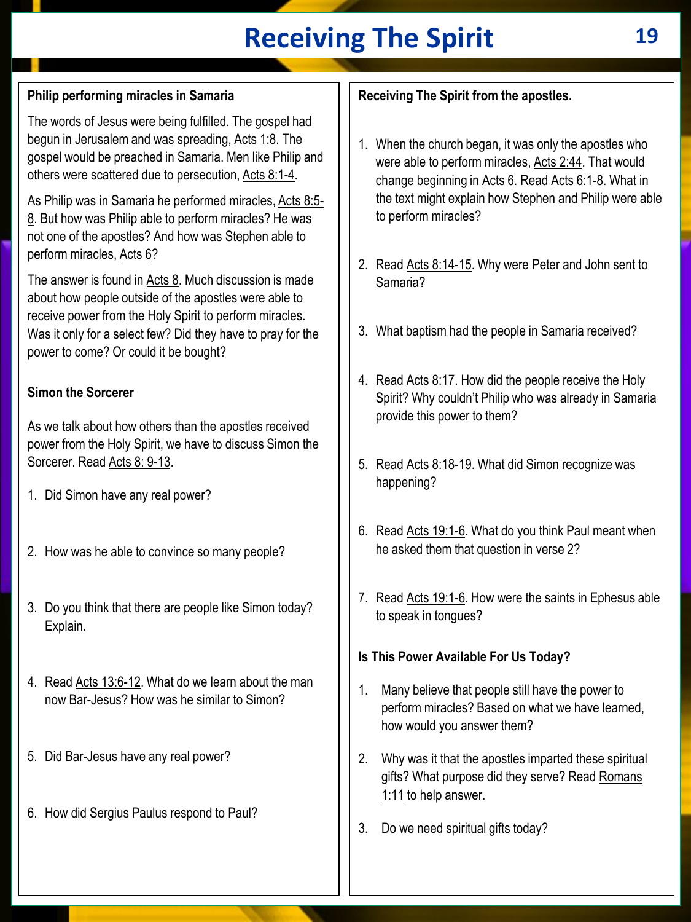# **Receiving The Spirit 19**

## **Philip performing miracles in Samaria**

The words of Jesus were being fulfilled. The gospel had begun in Jerusalem and was spreading, Acts 1:8. The gospel would be preached in Samaria. Men like Philip and others were scattered due to persecution, Acts 8:1-4.

As Philip was in Samaria he performed miracles, Acts 8:5-8. But how was Philip able to perform miracles? He was not one of the apostles? And how was Stephen able to perform miracles, Acts 6?

The answer is found in Acts 8. Much discussion is made about how people outside of the apostles were able to receive power from the Holy Spirit to perform miracles. Was it only for a select few? Did they have to pray for the power to come? Or could it be bought?

## **Simon the Sorcerer**

As we talk about how others than the apostles received power from the Holy Spirit, we have to discuss Simon the Sorcerer. Read Acts 8: 9-13.

- 1. Did Simon have any real power?
- 2. How was he able to convince so many people?
- 3. Do you think that there are people like Simon today? Explain.
- 4. Read Acts 13:6-12. What do we learn about the man now Bar-Jesus? How was he similar to Simon?
- 5. Did Bar-Jesus have any real power?
- 6. How did Sergius Paulus respond to Paul?

## **Receiving The Spirit from the apostles.**

- 1. When the church began, it was only the apostles who were able to perform miracles, Acts 2:44. That would change beginning in Acts 6. Read Acts 6:1-8. What in the text might explain how Stephen and Philip were able to perform miracles?
- 2. Read Acts 8:14-15. Why were Peter and John sent to Samaria?
- 3. What baptism had the people in Samaria received?
- 4. Read Acts 8:17. How did the people receive the Holy Spirit? Why couldn't Philip who was already in Samaria provide this power to them?
- 5. Read Acts 8:18-19. What did Simon recognize was happening?
- 6. Read Acts 19:1-6. What do you think Paul meant when he asked them that question in verse 2?
- 7. Read Acts 19:1-6. How were the saints in Ephesus able to speak in tongues?

## **Is This Power Available For Us Today?**

- 1. Many believe that people still have the power to perform miracles? Based on what we have learned, how would you answer them?
- 2. Why was it that the apostles imparted these spiritual gifts? What purpose did they serve? Read Romans 1:11 to help answer.
- 3. Do we need spiritual gifts today?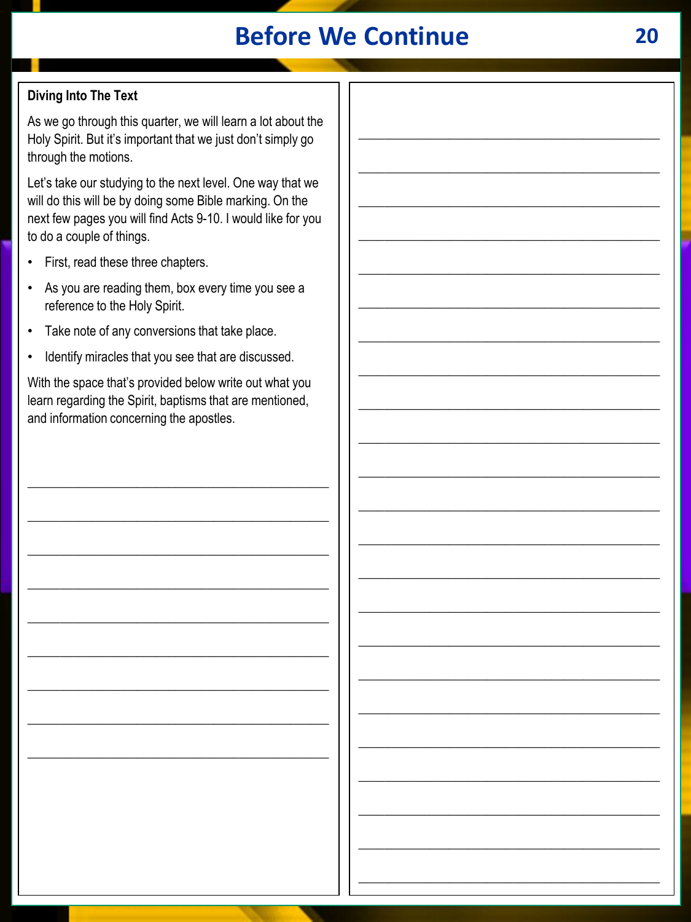# **Before We Continue**

## **Diving Into The Text**

As we go through this quarter, we will learn a lot about the Holy Spirit. But it's important that we just don't simply go through the motions.

Let's take our studying to the next level. One way that we will do this will be by doing some Bible marking. On the next few pages you will find Acts 9-10. I would like for you to do a couple of things.

- First, read these three chapters.
- As you are reading them, box every time you see a reference to the Holy Spirit.
- Take note of any conversions that take place.  $\bullet$
- Identify miracles that you see that are discussed.

With the space that's provided below write out what you learn regarding the Spirit, baptisms that are mentioned, and information concerning the apostles.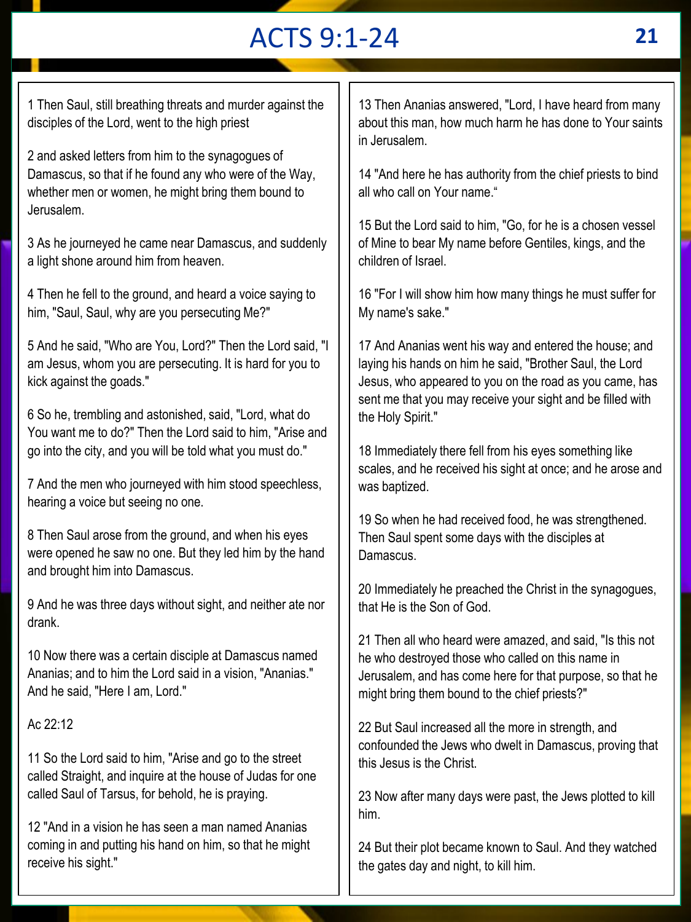# ACTS 9:1-24 **21**

1 Then Saul, still breathing threats and murder against the disciples of the Lord, went to the high priest

2 and asked letters from him to the synagogues of Damascus, so that if he found any who were of the Way, whether men or women, he might bring them bound to Jerusalem.

3 As he journeyed he came near Damascus, and suddenly a light shone around him from heaven.

4 Then he fell to the ground, and heard a voice saying to him, "Saul, Saul, why are you persecuting Me?"

5 And he said, "Who are You, Lord?" Then the Lord said, "I am Jesus, whom you are persecuting. It is hard for you to kick against the goads."

6 So he, trembling and astonished, said, "Lord, what do You want me to do?" Then the Lord said to him, "Arise and go into the city, and you will be told what you must do."

7 And the men who journeyed with him stood speechless, hearing a voice but seeing no one.

8 Then Saul arose from the ground, and when his eyes were opened he saw no one. But they led him by the hand and brought him into Damascus.

9 And he was three days without sight, and neither ate nor drank.

10 Now there was a certain disciple at Damascus named Ananias; and to him the Lord said in a vision, "Ananias." And he said, "Here I am, Lord."

#### Ac 22:12

11 So the Lord said to him, "Arise and go to the street called Straight, and inquire at the house of Judas for one called Saul of Tarsus, for behold, he is praying.

12 "And in a vision he has seen a man named Ananias coming in and putting his hand on him, so that he might receive his sight."

13 Then Ananias answered, "Lord, I have heard from many about this man, how much harm he has done to Your saints in Jerusalem.

14 "And here he has authority from the chief priests to bind all who call on Your name."

15 But the Lord said to him, "Go, for he is a chosen vessel of Mine to bear My name before Gentiles, kings, and the children of Israel.

16 "For I will show him how many things he must suffer for My name's sake."

17 And Ananias went his way and entered the house; and laying his hands on him he said, "Brother Saul, the Lord Jesus, who appeared to you on the road as you came, has sent me that you may receive your sight and be filled with the Holy Spirit."

18 Immediately there fell from his eyes something like scales, and he received his sight at once; and he arose and was baptized.

19 So when he had received food, he was strengthened. Then Saul spent some days with the disciples at Damascus.

20 Immediately he preached the Christ in the synagogues, that He is the Son of God.

21 Then all who heard were amazed, and said, "Is this not he who destroyed those who called on this name in Jerusalem, and has come here for that purpose, so that he might bring them bound to the chief priests?"

22 But Saul increased all the more in strength, and confounded the Jews who dwelt in Damascus, proving that this Jesus is the Christ.

23 Now after many days were past, the Jews plotted to kill him.

24 But their plot became known to Saul. And they watched the gates day and night, to kill him.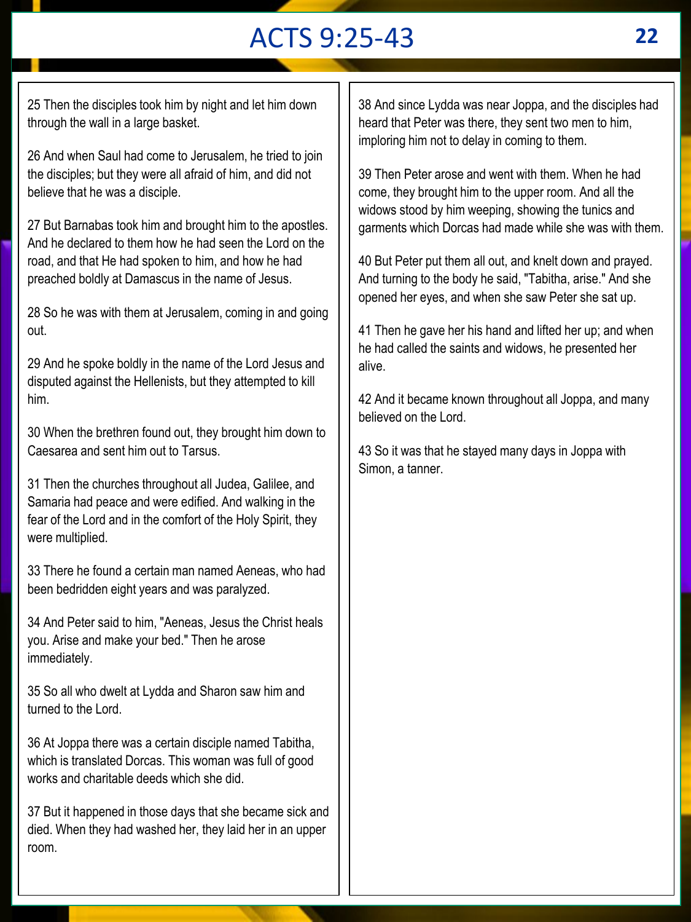# ACTS 9:25-43 **22**

25 Then the disciples took him by night and let him down through the wall in a large basket.

26 And when Saul had come to Jerusalem, he tried to join the disciples; but they were all afraid of him, and did not believe that he was a disciple.

27 But Barnabas took him and brought him to the apostles. And he declared to them how he had seen the Lord on the road, and that He had spoken to him, and how he had preached boldly at Damascus in the name of Jesus.

28 So he was with them at Jerusalem, coming in and going out.

29 And he spoke boldly in the name of the Lord Jesus and disputed against the Hellenists, but they attempted to kill him.

30 When the brethren found out, they brought him down to Caesarea and sent him out to Tarsus.

31 Then the churches throughout all Judea, Galilee, and Samaria had peace and were edified. And walking in the fear of the Lord and in the comfort of the Holy Spirit, they were multiplied.

33 There he found a certain man named Aeneas, who had been bedridden eight years and was paralyzed.

34 And Peter said to him, "Aeneas, Jesus the Christ heals you. Arise and make your bed." Then he arose immediately.

35 So all who dwelt at Lydda and Sharon saw him and turned to the Lord.

36 At Joppa there was a certain disciple named Tabitha, which is translated Dorcas. This woman was full of good works and charitable deeds which she did.

37 But it happened in those days that she became sick and died. When they had washed her, they laid her in an upper room.

38 And since Lydda was near Joppa, and the disciples had heard that Peter was there, they sent two men to him, imploring him not to delay in coming to them.

39 Then Peter arose and went with them. When he had come, they brought him to the upper room. And all the widows stood by him weeping, showing the tunics and garments which Dorcas had made while she was with them.

40 But Peter put them all out, and knelt down and prayed. And turning to the body he said, "Tabitha, arise." And she opened her eyes, and when she saw Peter she sat up.

41 Then he gave her his hand and lifted her up; and when he had called the saints and widows, he presented her alive.

42 And it became known throughout all Joppa, and many believed on the Lord.

43 So it was that he stayed many days in Joppa with Simon, a tanner.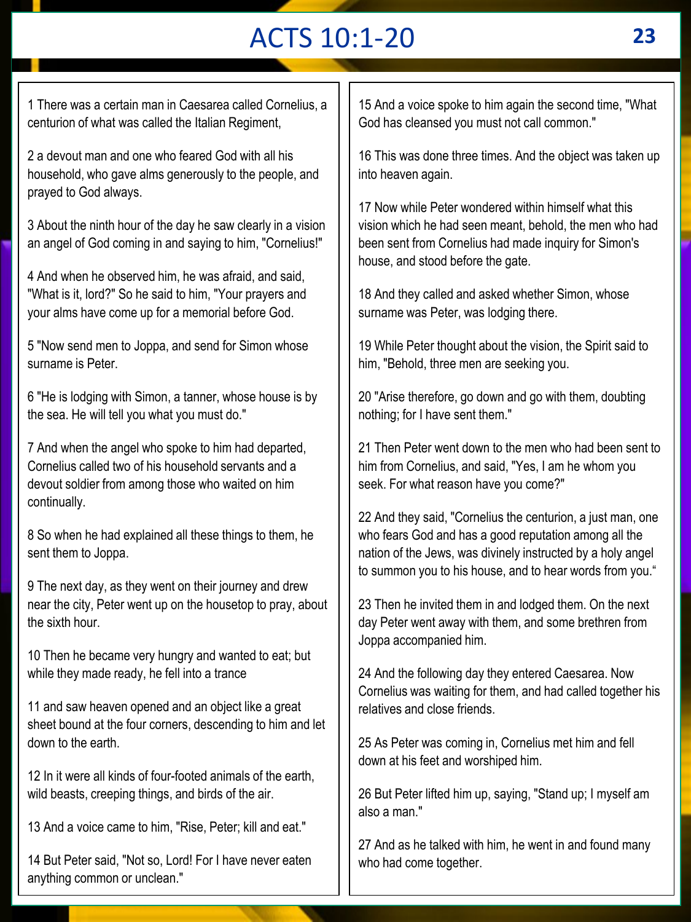# ACTS 10:1-20 **23**

1 There was a certain man in Caesarea called Cornelius, a centurion of what was called the Italian Regiment,

2 a devout man and one who feared God with all his household, who gave alms generously to the people, and prayed to God always.

3 About the ninth hour of the day he saw clearly in a vision an angel of God coming in and saying to him, "Cornelius!"

4 And when he observed him, he was afraid, and said, "What is it, lord?" So he said to him, "Your prayers and your alms have come up for a memorial before God.

5 "Now send men to Joppa, and send for Simon whose surname is Peter.

6 "He is lodging with Simon, a tanner, whose house is by the sea. He will tell you what you must do."

7 And when the angel who spoke to him had departed, Cornelius called two of his household servants and a devout soldier from among those who waited on him continually.

8 So when he had explained all these things to them, he sent them to Joppa.

9 The next day, as they went on their journey and drew near the city, Peter went up on the housetop to pray, about the sixth hour.

10 Then he became very hungry and wanted to eat; but while they made ready, he fell into a trance

11 and saw heaven opened and an object like a great sheet bound at the four corners, descending to him and let down to the earth.

12 In it were all kinds of four-footed animals of the earth, wild beasts, creeping things, and birds of the air.

13 And a voice came to him, "Rise, Peter; kill and eat."

14 But Peter said, "Not so, Lord! For I have never eaten anything common or unclean."

15 And a voice spoke to him again the second time, "What God has cleansed you must not call common."

16 This was done three times. And the object was taken up into heaven again.

17 Now while Peter wondered within himself what this vision which he had seen meant, behold, the men who had been sent from Cornelius had made inquiry for Simon's house, and stood before the gate.

18 And they called and asked whether Simon, whose surname was Peter, was lodging there.

19 While Peter thought about the vision, the Spirit said to him, "Behold, three men are seeking you.

20 "Arise therefore, go down and go with them, doubting nothing; for I have sent them."

21 Then Peter went down to the men who had been sent to him from Cornelius, and said, "Yes, I am he whom you seek. For what reason have you come?"

22 And they said, "Cornelius the centurion, a just man, one who fears God and has a good reputation among all the nation of the Jews, was divinely instructed by a holy angel to summon you to his house, and to hear words from you."

23 Then he invited them in and lodged them. On the next day Peter went away with them, and some brethren from Joppa accompanied him.

24 And the following day they entered Caesarea. Now Cornelius was waiting for them, and had called together his relatives and close friends.

25 As Peter was coming in, Cornelius met him and fell down at his feet and worshiped him.

26 But Peter lifted him up, saying, "Stand up; I myself am also a man."

27 And as he talked with him, he went in and found many who had come together.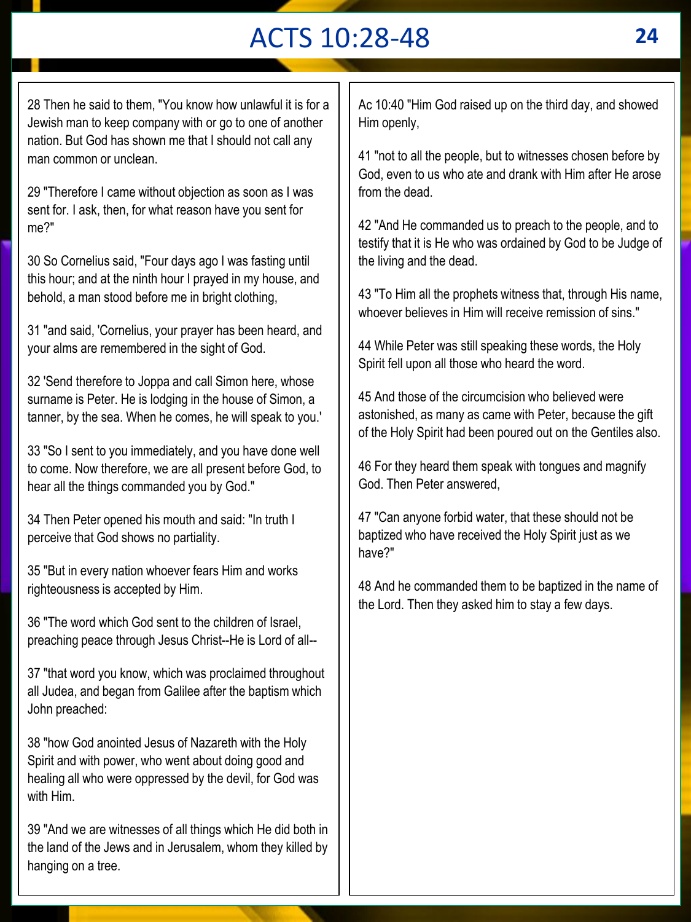# ACTS 10:28-48 **24**

28 Then he said to them, "You know how unlawful it is for a Jewish man to keep company with or go to one of another nation. But God has shown me that I should not call any man common or unclean.

29 "Therefore I came without objection as soon as I was sent for. I ask, then, for what reason have you sent for me?"

30 So Cornelius said, "Four days ago I was fasting until this hour; and at the ninth hour I prayed in my house, and behold, a man stood before me in bright clothing,

31 "and said, 'Cornelius, your prayer has been heard, and your alms are remembered in the sight of God.

32 'Send therefore to Joppa and call Simon here, whose surname is Peter. He is lodging in the house of Simon, a tanner, by the sea. When he comes, he will speak to you.'

33 "So I sent to you immediately, and you have done well to come. Now therefore, we are all present before God, to hear all the things commanded you by God."

34 Then Peter opened his mouth and said: "In truth I perceive that God shows no partiality.

35 "But in every nation whoever fears Him and works righteousness is accepted by Him.

36 "The word which God sent to the children of Israel, preaching peace through Jesus Christ--He is Lord of all--

37 "that word you know, which was proclaimed throughout all Judea, and began from Galilee after the baptism which John preached:

38 "how God anointed Jesus of Nazareth with the Holy Spirit and with power, who went about doing good and healing all who were oppressed by the devil, for God was with Him.

39 "And we are witnesses of all things which He did both in the land of the Jews and in Jerusalem, whom they killed by hanging on a tree.

Ac 10:40 "Him God raised up on the third day, and showed Him openly,

41 "not to all the people, but to witnesses chosen before by God, even to us who ate and drank with Him after He arose from the dead.

42 "And He commanded us to preach to the people, and to testify that it is He who was ordained by God to be Judge of the living and the dead.

43 "To Him all the prophets witness that, through His name, whoever believes in Him will receive remission of sins."

44 While Peter was still speaking these words, the Holy Spirit fell upon all those who heard the word.

45 And those of the circumcision who believed were astonished, as many as came with Peter, because the gift of the Holy Spirit had been poured out on the Gentiles also.

46 For they heard them speak with tongues and magnify God. Then Peter answered,

47 "Can anyone forbid water, that these should not be baptized who have received the Holy Spirit just as we have?"

48 And he commanded them to be baptized in the name of the Lord. Then they asked him to stay a few days.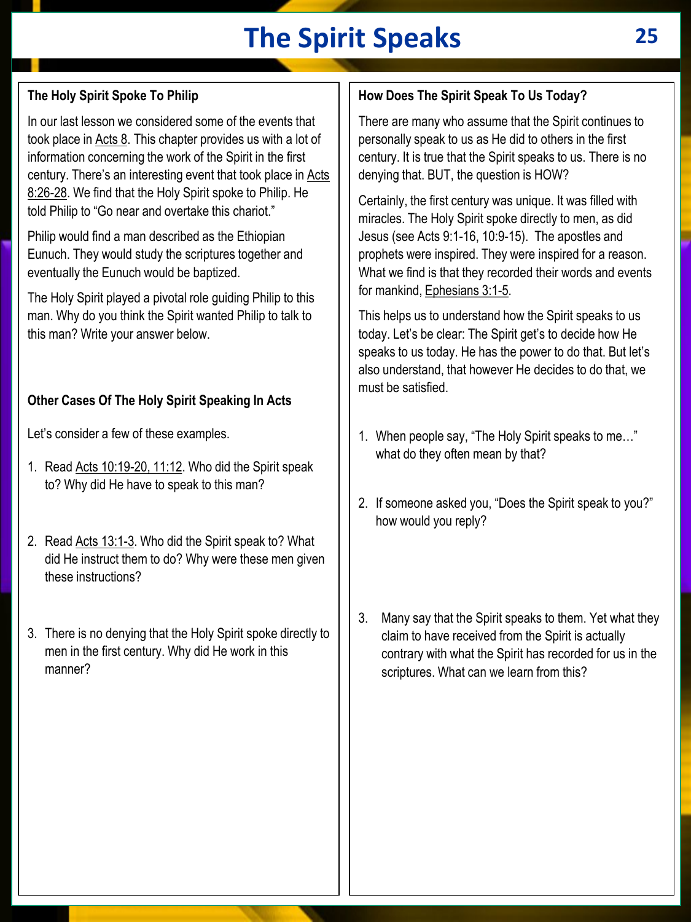# **The Spirit Speaks 25**

## **The Holy Spirit Spoke To Philip**

In our last lesson we considered some of the events that took place in Acts 8. This chapter provides us with a lot of information concerning the work of the Spirit in the first century. There's an interesting event that took place in Acts 8:26-28. We find that the Holy Spirit spoke to Philip. He told Philip to "Go near and overtake this chariot."

Philip would find a man described as the Ethiopian Eunuch. They would study the scriptures together and eventually the Eunuch would be baptized.

The Holy Spirit played a pivotal role guiding Philip to this man. Why do you think the Spirit wanted Philip to talk to this man? Write your answer below.

#### **Other Cases Of The Holy Spirit Speaking In Acts**

Let's consider a few of these examples.

- 1. Read Acts 10:19-20, 11:12. Who did the Spirit speak to? Why did He have to speak to this man?
- 2. Read Acts 13:1-3. Who did the Spirit speak to? What did He instruct them to do? Why were these men given these instructions?
- 3. There is no denying that the Holy Spirit spoke directly to men in the first century. Why did He work in this manner?

#### **How Does The Spirit Speak To Us Today?**

There are many who assume that the Spirit continues to personally speak to us as He did to others in the first century. It is true that the Spirit speaks to us. There is no denying that. BUT, the question is HOW?

Certainly, the first century was unique. It was filled with miracles. The Holy Spirit spoke directly to men, as did Jesus (see Acts 9:1-16, 10:9-15). The apostles and prophets were inspired. They were inspired for a reason. What we find is that they recorded their words and events for mankind, Ephesians 3:1-5.

This helps us to understand how the Spirit speaks to us today. Let's be clear: The Spirit get's to decide how He speaks to us today. He has the power to do that. But let's also understand, that however He decides to do that, we must be satisfied.

- 1. When people say, "The Holy Spirit speaks to me…" what do they often mean by that?
- 2. If someone asked you, "Does the Spirit speak to you?" how would you reply?
- 3. Many say that the Spirit speaks to them. Yet what they claim to have received from the Spirit is actually contrary with what the Spirit has recorded for us in the scriptures. What can we learn from this?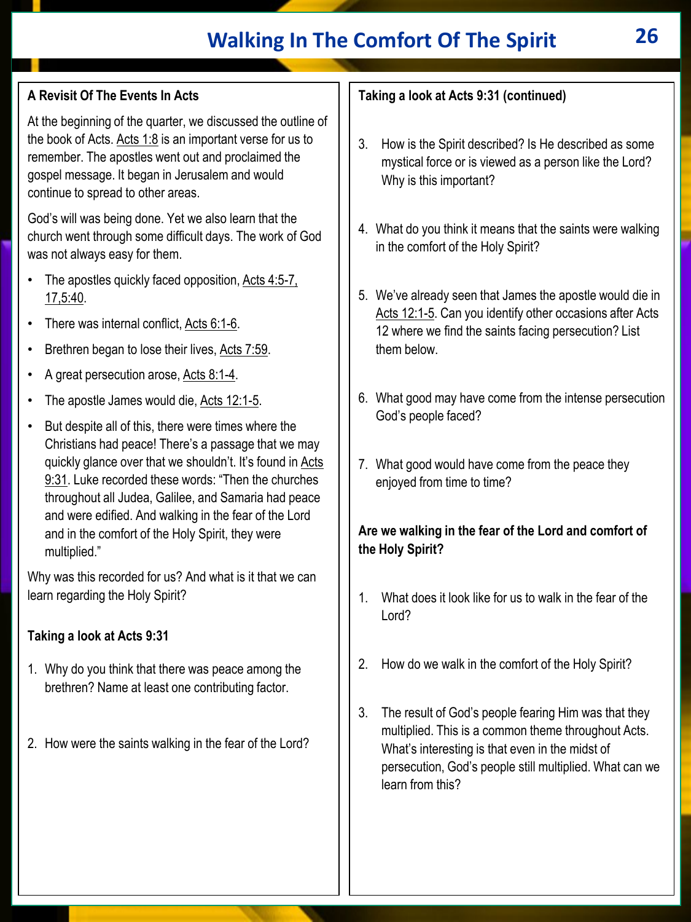## **Walking In The Comfort Of The Spirit 26**

## **A Revisit Of The Events In Acts**

At the beginning of the quarter, we discussed the outline of the book of Acts. Acts  $1:8$  is an important verse for us to remember. The apostles went out and proclaimed the gospel message. It began in Jerusalem and would continue to spread to other areas.

God's will was being done. Yet we also learn that the church went through some difficult days. The work of God was not always easy for them.

- The apostles quickly faced opposition, Acts 4:5-7, 17,5:40.
- There was internal conflict, Acts 6:1-6.
- Brethren began to lose their lives, Acts 7:59.
- A great persecution arose, Acts 8:1-4.
- The apostle James would die, Acts 12:1-5.
- But despite all of this, there were times where the Christians had peace! There's a passage that we may quickly glance over that we shouldn't. It's found in Acts 9:31. Luke recorded these words: "Then the churches throughout all Judea, Galilee, and Samaria had peace and were edified. And walking in the fear of the Lord and in the comfort of the Holy Spirit, they were multiplied."

Why was this recorded for us? And what is it that we can learn regarding the Holy Spirit?

#### **Taking a look at Acts 9:31**

- 1. Why do you think that there was peace among the brethren? Name at least one contributing factor.
- 2. How were the saints walking in the fear of the Lord?

## **Taking a look at Acts 9:31 (continued)**

- 3. How is the Spirit described? Is He described as some mystical force or is viewed as a person like the Lord? Why is this important?
- 4. What do you think it means that the saints were walking in the comfort of the Holy Spirit?
- 5. We've already seen that James the apostle would die in Acts 12:1-5. Can you identify other occasions after Acts 12 where we find the saints facing persecution? List them below.
- 6. What good may have come from the intense persecution God's people faced?
- 7. What good would have come from the peace they enjoyed from time to time?

#### **Are we walking in the fear of the Lord and comfort of the Holy Spirit?**

- 1. What does it look like for us to walk in the fear of the Lord?
- 2. How do we walk in the comfort of the Holy Spirit?
- 3. The result of God's people fearing Him was that they multiplied. This is a common theme throughout Acts. What's interesting is that even in the midst of persecution, God's people still multiplied. What can we learn from this?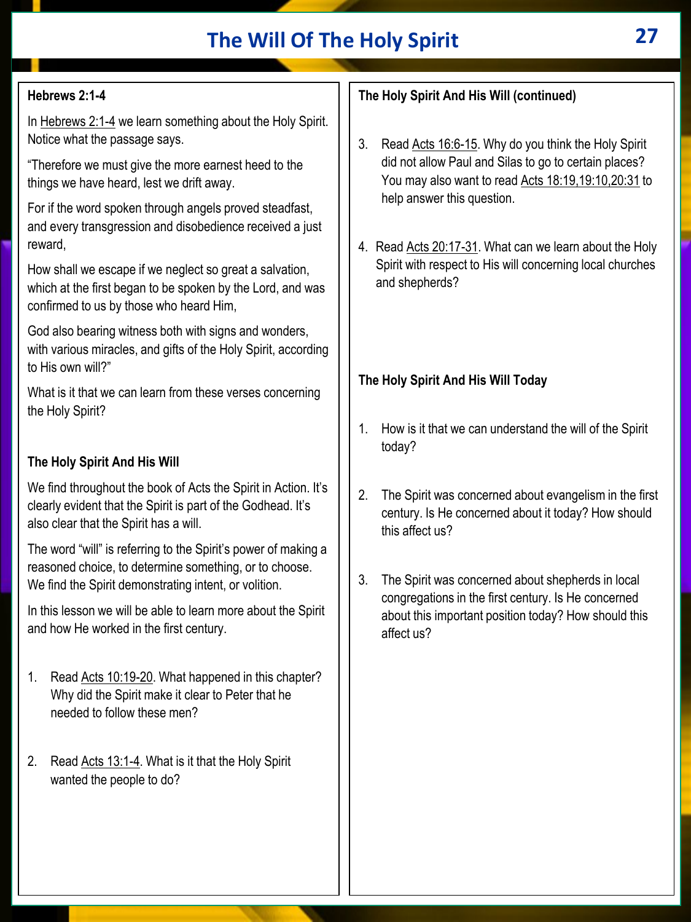## **The Will Of The Holy Spirit 27**

## **Hebrews 2:1-4**

In Hebrews 2:1-4 we learn something about the Holy Spirit. Notice what the passage says.

"Therefore we must give the more earnest heed to the things we have heard, lest we drift away.

For if the word spoken through angels proved steadfast, and every transgression and disobedience received a just reward,

How shall we escape if we neglect so great a salvation, which at the first began to be spoken by the Lord, and was confirmed to us by those who heard Him,

God also bearing witness both with signs and wonders, with various miracles, and gifts of the Holy Spirit, according to His own will?"

What is it that we can learn from these verses concerning the Holy Spirit?

### **The Holy Spirit And His Will**

We find throughout the book of Acts the Spirit in Action. It's clearly evident that the Spirit is part of the Godhead. It's also clear that the Spirit has a will.

The word "will" is referring to the Spirit's power of making a reasoned choice, to determine something, or to choose. We find the Spirit demonstrating intent, or volition.

In this lesson we will be able to learn more about the Spirit and how He worked in the first century.

- 1. Read Acts 10:19-20. What happened in this chapter? Why did the Spirit make it clear to Peter that he needed to follow these men?
- 2. Read Acts 13:1-4. What is it that the Holy Spirit wanted the people to do?

## **The Holy Spirit And His Will (continued)**

- 3. Read Acts 16:6-15. Why do you think the Holy Spirit did not allow Paul and Silas to go to certain places? You may also want to read Acts 18:19,19:10,20:31 to help answer this question.
- 4. Read Acts 20:17-31. What can we learn about the Holy Spirit with respect to His will concerning local churches and shepherds?

#### **The Holy Spirit And His Will Today**

- 1. How is it that we can understand the will of the Spirit today?
- 2. The Spirit was concerned about evangelism in the first century. Is He concerned about it today? How should this affect us?
- 3. The Spirit was concerned about shepherds in local congregations in the first century. Is He concerned about this important position today? How should this affect us?